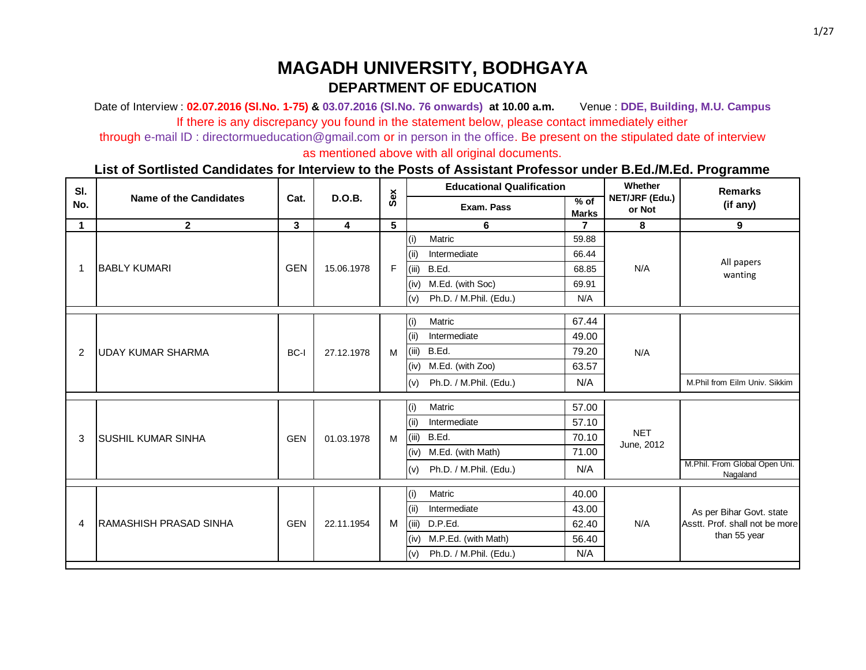Date of Interview : **02.07.2016 (Sl.No. 1-75) & 03.07.2016 (Sl.No. 76 onwards) at 10.00 a.m.** Venue : **DDE, Building, M.U. Campus** If there is any discrepancy you found in the statement below, please contact immediately either

through e-mail ID : directormueducation@gmail.com or in person in the office. Be present on the stipulated date of interview

as mentioned above with all original documents.

| SI.         |                               |            |               |     |       | <b>Educational Qualification</b> |                        | Whether                  | <b>Remarks</b>                            |                     |       |  |              |
|-------------|-------------------------------|------------|---------------|-----|-------|----------------------------------|------------------------|--------------------------|-------------------------------------------|---------------------|-------|--|--------------|
| No.         | <b>Name of the Candidates</b> | Cat.       | <b>D.O.B.</b> | Sex |       | Exam. Pass                       | $%$ of<br><b>Marks</b> | NET/JRF (Edu.)<br>or Not | (if any)                                  |                     |       |  |              |
| $\mathbf 1$ | $\mathbf{2}$                  | 3          | 4             | 5   |       | 6                                |                        | 8                        | $\boldsymbol{9}$                          |                     |       |  |              |
|             |                               |            |               |     | (i)   | Matric                           | 59.88                  |                          |                                           |                     |       |  |              |
|             |                               |            |               |     | (i)   | Intermediate                     | 66.44                  |                          |                                           |                     |       |  |              |
| 1           | <b>BABLY KUMARI</b>           | <b>GEN</b> | 15.06.1978    | F   | (iii) | B.Ed.                            | 68.85                  | N/A                      | All papers<br>wanting                     |                     |       |  |              |
|             |                               |            |               |     | (iv)  | M.Ed. (with Soc)                 | 69.91                  |                          |                                           |                     |       |  |              |
|             |                               |            |               |     | (v)   | Ph.D. / M.Phil. (Edu.)           | N/A                    |                          |                                           |                     |       |  |              |
|             |                               |            |               |     | (i)   | Matric                           | 67.44                  |                          |                                           |                     |       |  |              |
|             | <b>UDAY KUMAR SHARMA</b>      |            |               |     | (ii)  | Intermediate                     | 49.00                  |                          |                                           |                     |       |  |              |
| 2           |                               | BC-I       | 27.12.1978    | M   | (iii) | B.Ed.                            | 79.20                  | N/A                      |                                           |                     |       |  |              |
|             |                               |            |               |     | (iv)  | M.Ed. (with Zoo)                 | 63.57                  |                          |                                           |                     |       |  |              |
|             |                               |            |               |     | (v)   | Ph.D. / M.Phil. (Edu.)           | N/A                    |                          | M.Phil from Eilm Univ. Sikkim             |                     |       |  |              |
|             |                               |            |               |     | (i)   | Matric                           | 57.00                  |                          |                                           |                     |       |  |              |
|             |                               |            |               |     | (iii) | Intermediate                     | 57.10                  |                          |                                           |                     |       |  |              |
| 3           | <b>SUSHIL KUMAR SINHA</b>     | <b>GEN</b> | 01.03.1978    | M   | (iii) | B.Ed.                            | 70.10                  | <b>NET</b>               |                                           |                     |       |  |              |
|             |                               |            |               |     | (iv)  | M.Ed. (with Math)                | 71.00                  | June, 2012               |                                           |                     |       |  |              |
|             |                               |            |               |     | (v)   | Ph.D. / M.Phil. (Edu.)           | N/A                    |                          | M.Phil. From Global Open Uni.<br>Nagaland |                     |       |  |              |
|             |                               |            |               |     |       |                                  |                        |                          |                                           |                     |       |  |              |
|             |                               |            |               |     | (i)   | Matric                           | 40.00                  |                          |                                           |                     |       |  |              |
|             |                               |            |               |     | (ii)  | Intermediate                     | 43.00                  |                          | As per Bihar Govt. state                  |                     |       |  |              |
| 4           | <b>RAMASHISH PRASAD SINHA</b> | <b>GEN</b> | 22.11.1954    | M   | (iii) | D.P.Ed.                          | 62.40                  | N/A                      | Asstt. Prof. shall not be more            |                     |       |  |              |
|             |                               |            |               |     |       |                                  |                        |                          | (iv)                                      | M.P.Ed. (with Math) | 56.40 |  | than 55 year |
|             |                               |            |               |     | (v)   | Ph.D. / M.Phil. (Edu.)           | N/A                    |                          |                                           |                     |       |  |              |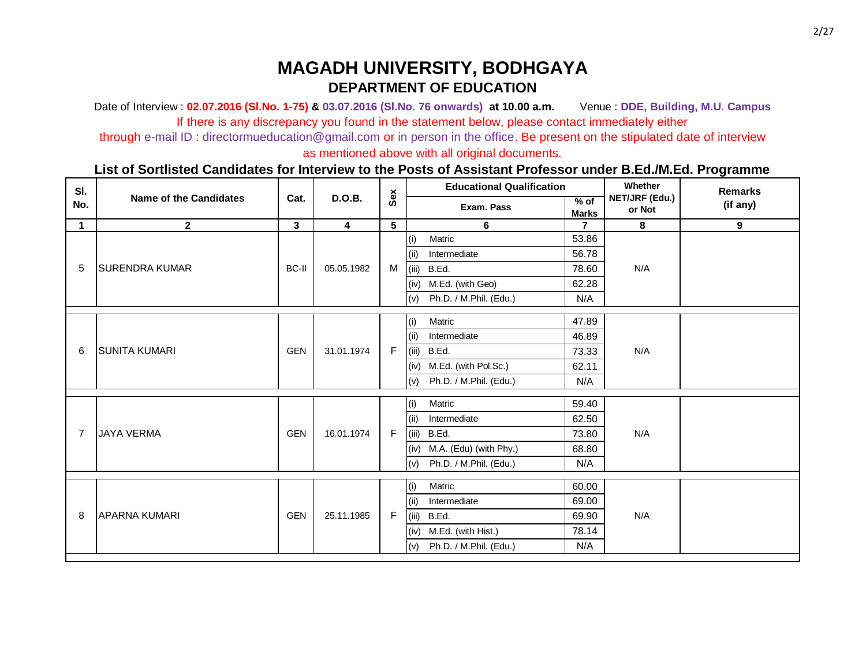Date of Interview : **02.07.2016 (Sl.No. 1-75) & 03.07.2016 (Sl.No. 76 onwards) at 10.00 a.m.** Venue : **DDE, Building, M.U. Campus** If there is any discrepancy you found in the statement below, please contact immediately either

through e-mail ID : directormueducation@gmail.com or in person in the office. Be present on the stipulated date of interview

as mentioned above with all original documents.

| SI.            |                               |              |                         |     |       | <b>Educational Qualification</b> |                        | Whether                  | <b>Remarks</b> |
|----------------|-------------------------------|--------------|-------------------------|-----|-------|----------------------------------|------------------------|--------------------------|----------------|
| No.            | <b>Name of the Candidates</b> | Cat.         | <b>D.O.B.</b>           | Sex |       | Exam. Pass                       | $%$ of<br><b>Marks</b> | NET/JRF (Edu.)<br>or Not | (if any)       |
| $\mathbf 1$    | $\mathbf{2}$                  | $\mathbf{3}$ | $\overline{\mathbf{4}}$ | 5   |       | 6                                | $\overline{7}$         | 8                        | $\mathbf{9}$   |
|                |                               |              |                         |     | (i)   | Matric                           | 53.86                  |                          |                |
|                |                               |              |                         |     | (ii)  | Intermediate                     | 56.78                  |                          |                |
| 5              | <b>SURENDRA KUMAR</b>         | <b>BC-II</b> | 05.05.1982              | M   | (iii) | B.Ed.                            | 78.60                  | N/A                      |                |
|                |                               |              |                         |     | (iv)  | M.Ed. (with Geo)                 | 62.28                  |                          |                |
|                |                               |              |                         |     | (v)   | Ph.D. / M.Phil. (Edu.)           | N/A                    |                          |                |
|                |                               |              |                         |     | (i)   | Matric                           | 47.89                  |                          |                |
|                | <b>SUNITA KUMARI</b>          |              |                         |     | (ii)  | Intermediate                     | 46.89                  |                          |                |
| 6              |                               | <b>GEN</b>   | 31.01.1974              | F   | (iii) | B.Ed.                            | 73.33                  | N/A                      |                |
|                |                               |              |                         |     | (iv)  | M.Ed. (with Pol.Sc.)             | 62.11                  |                          |                |
|                |                               |              |                         |     | (v)   | Ph.D. / M.Phil. (Edu.)           | N/A                    |                          |                |
|                |                               |              |                         |     | (i)   | Matric                           | 59.40                  |                          |                |
|                |                               |              |                         |     | (ii)  | Intermediate                     | 62.50                  |                          |                |
| $\overline{7}$ | <b>JAYA VERMA</b>             | <b>GEN</b>   | 16.01.1974              | F.  | (iii) | B.Ed.                            | 73.80                  | N/A                      |                |
|                |                               |              |                         |     | (iv)  | M.A. (Edu) (with Phy.)           | 68.80                  |                          |                |
|                |                               |              |                         |     | (v)   | Ph.D. / M.Phil. (Edu.)           | N/A                    |                          |                |
|                |                               |              |                         |     | (i)   | Matric                           | 60.00                  |                          |                |
|                |                               |              |                         |     | (ii)  | Intermediate                     | 69.00                  |                          |                |
| 8              | <b>APARNA KUMARI</b>          | <b>GEN</b>   | 25.11.1985              | F   | (iii) | B.Ed.                            | 69.90                  | N/A                      |                |
|                |                               |              |                         |     | (iv)  | M.Ed. (with Hist.)               | 78.14                  |                          |                |
|                |                               |              |                         |     | (v)   | Ph.D. / M.Phil. (Edu.)           | N/A                    |                          |                |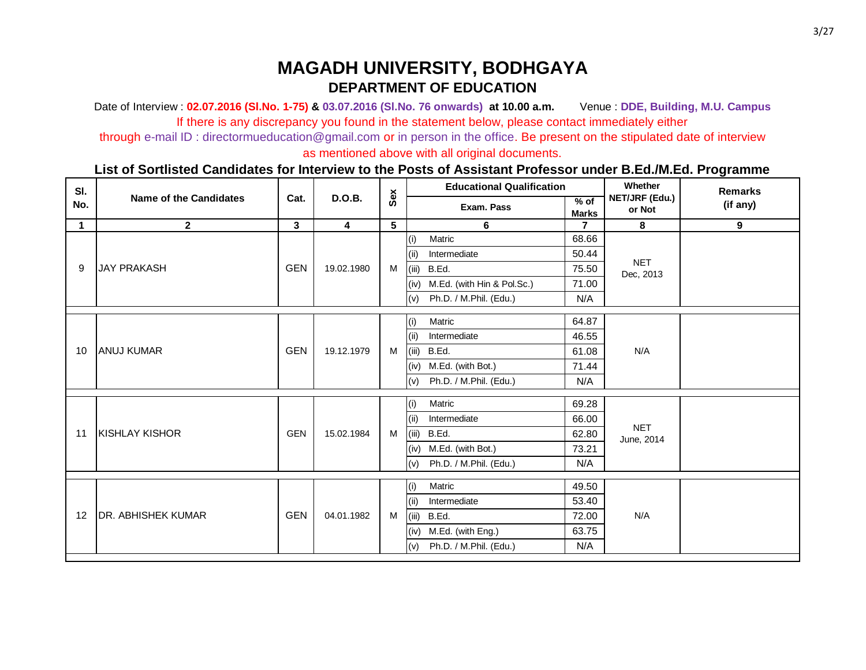Date of Interview : **02.07.2016 (Sl.No. 1-75) & 03.07.2016 (Sl.No. 76 onwards) at 10.00 a.m.** Venue : **DDE, Building, M.U. Campus** If there is any discrepancy you found in the statement below, please contact immediately either

through e-mail ID : directormueducation@gmail.com or in person in the office. Be present on the stipulated date of interview

as mentioned above with all original documents.

| SI.         |                               |            |                |     | <b>Educational Qualification</b>   |                        | Whether                  | <b>Remarks</b> |  |
|-------------|-------------------------------|------------|----------------|-----|------------------------------------|------------------------|--------------------------|----------------|--|
| No.         | <b>Name of the Candidates</b> | Cat.       | <b>D.O.B.</b>  | Sex | Exam. Pass                         | $%$ of<br><b>Marks</b> | NET/JRF (Edu.)<br>or Not | (if any)       |  |
| $\mathbf 1$ | $\mathbf{2}$                  | 3          | $\overline{4}$ | 5   | 6                                  | $\overline{7}$         | 8                        | 9              |  |
|             |                               |            |                |     | (i)<br>Matric                      | 68.66                  |                          |                |  |
|             |                               |            |                |     | Intermediate<br>(ii)               | 50.44                  |                          |                |  |
| 9           | <b>JAY PRAKASH</b>            | <b>GEN</b> | 19.02.1980     | M   | (iii)<br>B.Ed.                     | 75.50                  | <b>NET</b><br>Dec, 2013  |                |  |
|             |                               |            |                |     | M.Ed. (with Hin & Pol.Sc.)<br>(iv) | 71.00                  |                          |                |  |
|             |                               |            |                |     | (v)<br>Ph.D. / M.Phil. (Edu.)      | N/A                    |                          |                |  |
|             |                               |            |                |     | Matric<br>(i)                      | 64.87                  |                          |                |  |
|             |                               |            |                |     | Intermediate<br>(ii)               | 46.55                  |                          |                |  |
| 10          | <b>JANUJ KUMAR</b>            | <b>GEN</b> | 19.12.1979     | M   | (iii)<br>B.Ed.                     | 61.08                  | N/A                      |                |  |
|             |                               |            |                |     | M.Ed. (with Bot.)<br>(iv)          | 71.44                  |                          |                |  |
|             |                               |            |                |     | (v)<br>Ph.D. / M.Phil. (Edu.)      | N/A                    |                          |                |  |
|             |                               |            |                |     |                                    | Matric<br>(i)          | 69.28                    |                |  |
|             |                               |            |                |     | Intermediate<br>(i)                | 66.00                  |                          |                |  |
| 11          | <b>KISHLAY KISHOR</b>         | <b>GEN</b> | 15.02.1984     | M   | (iii)<br>B.Ed.                     | 62.80                  | <b>NET</b><br>June, 2014 |                |  |
|             |                               |            |                |     | M.Ed. (with Bot.)<br>(iv)          | 73.21                  |                          |                |  |
|             |                               |            |                |     | (v)<br>Ph.D. / M.Phil. (Edu.)      | N/A                    |                          |                |  |
|             |                               |            |                |     | (i)<br>Matric                      | 49.50                  |                          |                |  |
|             |                               |            |                |     | Intermediate<br>(ii)               | 53.40                  |                          |                |  |
| 12          | <b>DR. ABHISHEK KUMAR</b>     | <b>GEN</b> | 04.01.1982     |     | (iii)<br>B.Ed.                     | 72.00                  | N/A                      |                |  |
|             |                               |            |                | M   | M.Ed. (with Eng.)<br>(iv)          | 63.75                  |                          |                |  |
|             |                               |            |                |     | (v)<br>Ph.D. / M.Phil. (Edu.)      | N/A                    |                          |                |  |
|             |                               |            |                |     |                                    |                        |                          |                |  |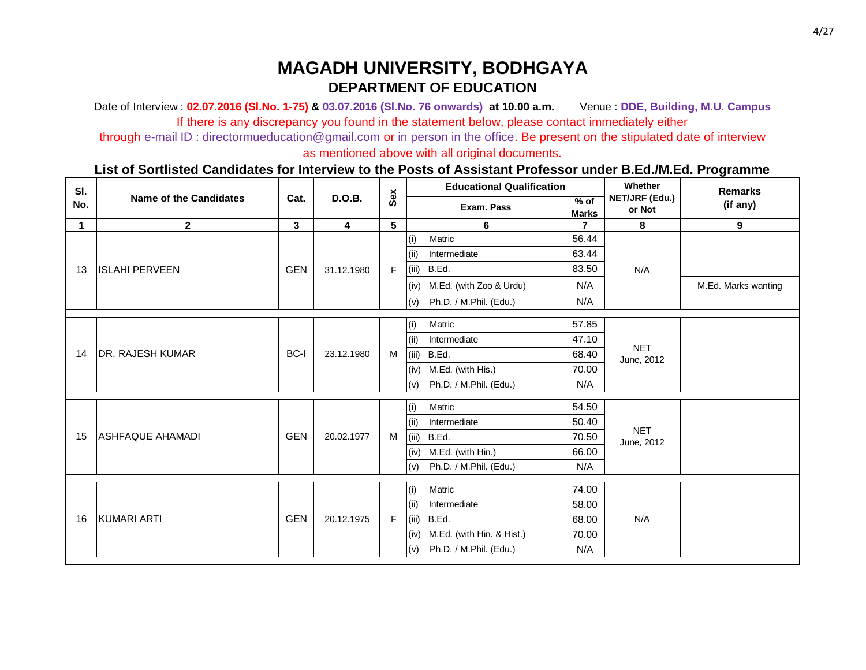Date of Interview : **02.07.2016 (Sl.No. 1-75) & 03.07.2016 (Sl.No. 76 onwards) at 10.00 a.m.** Venue : **DDE, Building, M.U. Campus** If there is any discrepancy you found in the statement below, please contact immediately either

through e-mail ID : directormueducation@gmail.com or in person in the office. Be present on the stipulated date of interview

as mentioned above with all original documents.

| SI.<br>Sex<br><b>Name of the Candidates</b><br><b>D.O.B.</b><br>Cat.<br>NET/JRF (Edu.)<br>$%$ of<br>No.<br>Exam. Pass<br>or Not<br><b>Marks</b><br>5<br>$\mathbf{2}$<br>3<br>$\overline{\mathbf{4}}$<br>$\mathbf 1$<br>8<br>6<br>$\mathbf{7}$ | <b>Remarks</b><br>(if any) |
|-----------------------------------------------------------------------------------------------------------------------------------------------------------------------------------------------------------------------------------------------|----------------------------|
|                                                                                                                                                                                                                                               |                            |
|                                                                                                                                                                                                                                               | 9                          |
| 56.44<br>(i)<br>Matric                                                                                                                                                                                                                        |                            |
| Intermediate<br>63.44<br>(ii)                                                                                                                                                                                                                 |                            |
| B.Ed.<br>(iii)<br>83.50<br><b>GEN</b><br><b>ISLAHI PERVEEN</b><br>F<br>N/A<br>31.12.1980<br>13                                                                                                                                                |                            |
| N/A<br>(iv) M.Ed. (with Zoo & Urdu)                                                                                                                                                                                                           | M.Ed. Marks wanting        |
| N/A<br>(v)<br>Ph.D. / M.Phil. (Edu.)                                                                                                                                                                                                          |                            |
| 57.85<br>(i)<br>Matric                                                                                                                                                                                                                        |                            |
| Intermediate<br>(ii)<br>47.10                                                                                                                                                                                                                 |                            |
| <b>NET</b><br>BC-I<br><b>DR. RAJESH KUMAR</b><br>23.12.1980<br>B.Ed.<br>14<br>M<br>(iii)<br>68.40                                                                                                                                             |                            |
| June, 2012<br>M.Ed. (with His.)<br>70.00                                                                                                                                                                                                      |                            |
| (iv)                                                                                                                                                                                                                                          |                            |
| (v)<br>Ph.D. / M.Phil. (Edu.)<br>N/A                                                                                                                                                                                                          |                            |
| Matric<br>54.50<br>(i)                                                                                                                                                                                                                        |                            |
| Intermediate<br>50.40<br>(ii)                                                                                                                                                                                                                 |                            |
| <b>NET</b><br><b>GEN</b><br><b>ASHFAQUE AHAMADI</b><br>15<br>(iii)<br>B.Ed.<br>70.50<br>20.02.1977<br>M<br>June, 2012                                                                                                                         |                            |
| M.Ed. (with Hin.)<br>66.00<br>(iv)                                                                                                                                                                                                            |                            |
| N/A<br>(v)<br>Ph.D. / M.Phil. (Edu.)                                                                                                                                                                                                          |                            |
| 74.00                                                                                                                                                                                                                                         |                            |
| (i)<br>Matric                                                                                                                                                                                                                                 |                            |
| Intermediate<br>58.00<br>(ii)                                                                                                                                                                                                                 |                            |
| <b>GEN</b><br>KUMARI ARTI<br>F<br>N/A<br>20.12.1975<br>B.Ed.<br>16<br>(iii)<br>68.00                                                                                                                                                          |                            |
| M.Ed. (with Hin. & Hist.)<br>70.00<br>(iv)                                                                                                                                                                                                    |                            |
| (v)<br>Ph.D. / M.Phil. (Edu.)<br>N/A                                                                                                                                                                                                          |                            |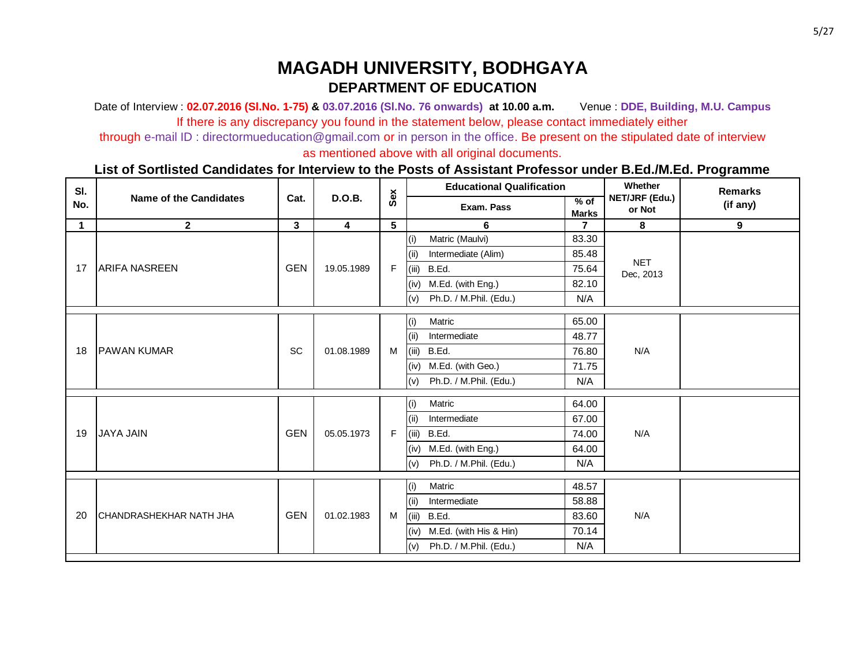Date of Interview : **02.07.2016 (Sl.No. 1-75) & 03.07.2016 (Sl.No. 76 onwards) at 10.00 a.m.** Venue : **DDE, Building, M.U. Campus** If there is any discrepancy you found in the statement below, please contact immediately either

through e-mail ID : directormueducation@gmail.com or in person in the office. Be present on the stipulated date of interview

as mentioned above with all original documents.

| SI.         |                                |              |                         |     | <b>Educational Qualification</b> |                        | Whether                  | <b>Remarks</b> |
|-------------|--------------------------------|--------------|-------------------------|-----|----------------------------------|------------------------|--------------------------|----------------|
| No.         | <b>Name of the Candidates</b>  | Cat.         | D.O.B.                  | Sex | Exam. Pass                       | $%$ of<br><b>Marks</b> | NET/JRF (Edu.)<br>or Not | (if any)       |
| $\mathbf 1$ | $\mathbf{2}$                   | $\mathbf{3}$ | $\overline{\mathbf{4}}$ | 5   | 6                                | $\overline{7}$         | 8                        | 9              |
|             |                                |              |                         |     | Matric (Maulvi)<br>(i)           | 83.30                  |                          |                |
|             |                                |              |                         |     | Intermediate (Alim)<br>(ii)      | 85.48                  |                          |                |
| 17          | <b>ARIFA NASREEN</b>           | <b>GEN</b>   | 19.05.1989              | F   | (iii)<br>B.Ed.                   | 75.64                  | <b>NET</b><br>Dec, 2013  |                |
|             |                                |              |                         |     | M.Ed. (with Eng.)<br>(iv)        | 82.10                  |                          |                |
|             |                                |              |                         |     | (v)<br>Ph.D. / M.Phil. (Edu.)    | N/A                    |                          |                |
|             |                                |              |                         |     | Matric<br>(i)                    | 65.00                  |                          |                |
|             |                                |              |                         |     | Intermediate<br>(ii)             | 48.77                  |                          |                |
| 18          | <b>PAWAN KUMAR</b>             | <b>SC</b>    | 01.08.1989              | M   | (iii)<br>B.Ed.                   | 76.80                  | N/A                      |                |
|             |                                |              |                         |     | M.Ed. (with Geo.)<br>(iv)        | 71.75                  |                          |                |
|             |                                |              |                         |     | (v)<br>Ph.D. / M.Phil. (Edu.)    | N/A                    |                          |                |
|             |                                |              |                         |     | (i)<br>Matric                    | 64.00                  |                          |                |
|             |                                |              |                         |     | Intermediate<br>(ii)             | 67.00                  |                          |                |
| 19          | <b>JAYA JAIN</b>               | <b>GEN</b>   | 05.05.1973              | F   | (iii)<br>B.Ed.                   | 74.00                  | N/A                      |                |
|             |                                |              |                         |     | M.Ed. (with Eng.)<br>(iv)        | 64.00                  |                          |                |
|             |                                |              |                         |     | (v)<br>Ph.D. / M.Phil. (Edu.)    | N/A                    |                          |                |
|             |                                |              |                         |     | Matric<br>(i)                    | 48.57                  |                          |                |
|             |                                |              |                         |     | Intermediate<br>(ii)             | 58.88                  |                          |                |
| 20          | <b>CHANDRASHEKHAR NATH JHA</b> | <b>GEN</b>   | 01.02.1983              | M   | (iii)<br>B.Ed.                   | 83.60                  | N/A                      |                |
|             |                                |              |                         |     | M.Ed. (with His & Hin)<br>(iv)   | 70.14                  |                          |                |
|             |                                |              |                         |     | (v)<br>Ph.D. / M.Phil. (Edu.)    | N/A                    |                          |                |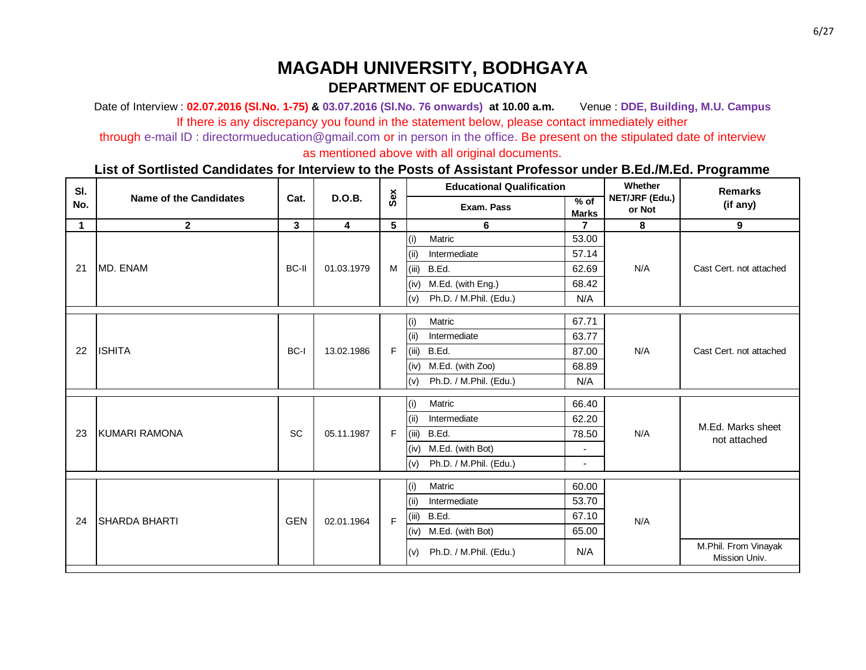Date of Interview : **02.07.2016 (Sl.No. 1-75) & 03.07.2016 (Sl.No. 76 onwards) at 10.00 a.m.** Venue : **DDE, Building, M.U. Campus** If there is any discrepancy you found in the statement below, please contact immediately either

through e-mail ID : directormueducation@gmail.com or in person in the office. Be present on the stipulated date of interview

as mentioned above with all original documents.

| SI.         |                               |              |               |              |       | <b>Educational Qualification</b> |                        | Whether                  | <b>Remarks</b>                        |
|-------------|-------------------------------|--------------|---------------|--------------|-------|----------------------------------|------------------------|--------------------------|---------------------------------------|
| No.         | <b>Name of the Candidates</b> | Cat.         | <b>D.O.B.</b> | Sex          |       | Exam. Pass                       | $%$ of<br><b>Marks</b> | NET/JRF (Edu.)<br>or Not | (if any)                              |
| $\mathbf 1$ | $\mathbf{2}$                  | 3            | 4             | 5            |       | 6                                | 7                      | 8                        | 9                                     |
|             |                               |              |               |              | (i)   | Matric                           | 53.00                  |                          |                                       |
|             |                               |              |               |              | (ii)  | Intermediate                     | 57.14                  |                          |                                       |
| 21          | MD. ENAM                      | <b>BC-II</b> | 01.03.1979    | M            | (iii) | B.Ed.                            | 62.69                  | N/A                      | Cast Cert. not attached               |
|             |                               |              |               |              | (iv)  | M.Ed. (with Eng.)                | 68.42                  |                          |                                       |
|             |                               |              |               |              | (v)   | Ph.D. / M.Phil. (Edu.)           | N/A                    |                          |                                       |
|             |                               |              |               |              | (i)   | Matric                           | 67.71                  |                          |                                       |
|             |                               |              |               |              | (ii)  | Intermediate                     | 63.77                  |                          |                                       |
| 22          | <b>ISHITA</b>                 | BC-I         | 13.02.1986    | $\mathsf F$  | (iii) | B.Ed.                            | 87.00                  | N/A                      | Cast Cert. not attached               |
|             |                               |              |               |              | (iv)  | M.Ed. (with Zoo)                 | 68.89                  |                          |                                       |
|             |                               |              |               |              | (v)   | Ph.D. / M.Phil. (Edu.)           | N/A                    |                          |                                       |
|             |                               |              |               |              | (i)   | Matric                           | 66.40                  |                          |                                       |
|             |                               |              |               |              |       | (i)                              | Intermediate           | 62.20                    |                                       |
| 23          | KUMARI RAMONA                 | <b>SC</b>    | 05.11.1987    | F            | (iii) | B.Ed.                            | 78.50                  | N/A                      | M.Ed. Marks sheet<br>not attached     |
|             |                               |              |               |              | (iv)  | M.Ed. (with Bot)                 | $\blacksquare$         |                          |                                       |
|             |                               |              |               |              | (v)   | Ph.D. / M.Phil. (Edu.)           | $\sim$                 |                          |                                       |
|             |                               |              |               |              | (i)   | Matric                           | 60.00                  |                          |                                       |
|             |                               |              |               |              | (ii)  | Intermediate                     | 53.70                  |                          |                                       |
| 24          | <b>SHARDA BHARTI</b>          | <b>GEN</b>   | 02.01.1964    | $\mathsf{F}$ | (iii) | B.Ed.                            | 67.10                  | N/A                      |                                       |
|             |                               |              |               |              | (iv)  | M.Ed. (with Bot)                 | 65.00                  |                          |                                       |
|             |                               |              |               |              | (v)   | Ph.D. / M.Phil. (Edu.)           | N/A                    |                          | M.Phil. From Vinayak<br>Mission Univ. |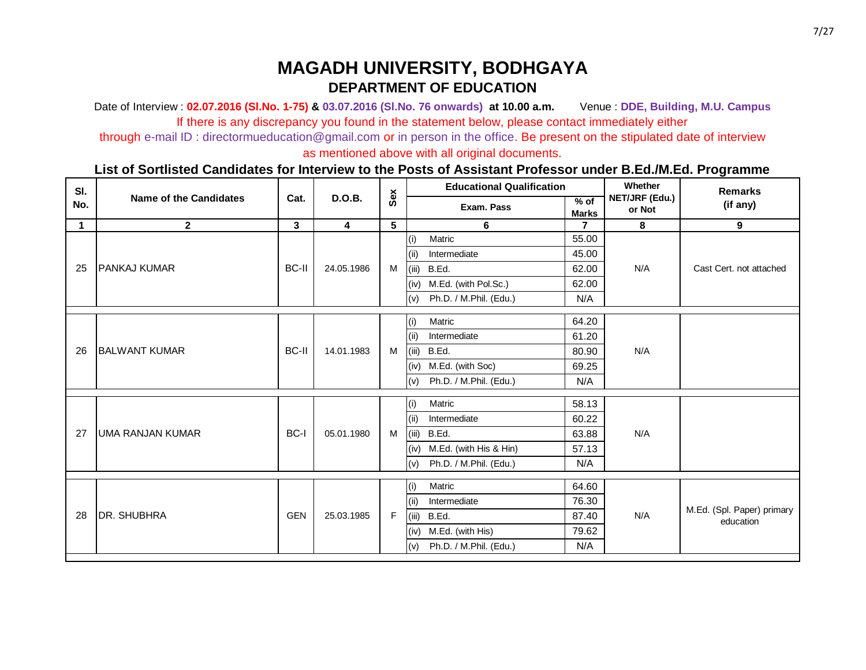Date of Interview : **02.07.2016 (Sl.No. 1-75) & 03.07.2016 (Sl.No. 76 onwards) at 10.00 a.m.** Venue : **DDE, Building, M.U. Campus** If there is any discrepancy you found in the statement below, please contact immediately either

through e-mail ID : directormueducation@gmail.com or in person in the office. Be present on the stipulated date of interview

as mentioned above with all original documents.

| SI.         |                               |              |                         |     |       | <b>Educational Qualification</b> |                        | Whether                  | <b>Remarks</b>             |     |  |      |                  |       |  |           |
|-------------|-------------------------------|--------------|-------------------------|-----|-------|----------------------------------|------------------------|--------------------------|----------------------------|-----|--|------|------------------|-------|--|-----------|
| No.         | <b>Name of the Candidates</b> | Cat.         | D.O.B.                  | Sex |       | Exam. Pass                       | $%$ of<br><b>Marks</b> | NET/JRF (Edu.)<br>or Not | (if any)                   |     |  |      |                  |       |  |           |
| $\mathbf 1$ | $\mathbf{2}$                  | $\mathbf{3}$ | $\overline{\mathbf{4}}$ | 5   |       | 6                                | $\overline{7}$         | 8                        | 9                          |     |  |      |                  |       |  |           |
|             |                               |              |                         |     | (i)   | Matric                           | 55.00                  |                          |                            |     |  |      |                  |       |  |           |
|             | <b>PANKAJ KUMAR</b>           |              |                         |     | (ii)  | Intermediate                     | 45.00                  |                          |                            |     |  |      |                  |       |  |           |
| 25          |                               | <b>BC-II</b> | 24.05.1986              | M   | (iii) | B.Ed.                            | 62.00                  | N/A                      | Cast Cert. not attached    |     |  |      |                  |       |  |           |
|             |                               |              |                         |     | (iv)  | M.Ed. (with Pol.Sc.)             | 62.00                  |                          |                            |     |  |      |                  |       |  |           |
|             |                               |              |                         |     | (v)   | Ph.D. / M.Phil. (Edu.)           | N/A                    |                          |                            |     |  |      |                  |       |  |           |
|             |                               |              |                         |     | (i)   | Matric                           | 64.20                  |                          |                            |     |  |      |                  |       |  |           |
|             |                               |              |                         |     | (ii)  | Intermediate                     | 61.20                  |                          |                            |     |  |      |                  |       |  |           |
| 26          | <b>BALWANT KUMAR</b>          | <b>BC-II</b> | 14.01.1983              | M   | (iii) | B.Ed.                            | 80.90                  | N/A                      |                            |     |  |      |                  |       |  |           |
|             |                               |              |                         |     | (iv)  | M.Ed. (with Soc)                 | 69.25                  |                          |                            |     |  |      |                  |       |  |           |
|             |                               |              |                         |     | (v)   | Ph.D. / M.Phil. (Edu.)           | N/A                    |                          |                            |     |  |      |                  |       |  |           |
|             |                               |              |                         |     | (i)   | Matric                           | 58.13                  |                          |                            |     |  |      |                  |       |  |           |
|             |                               |              |                         |     | (ii)  | Intermediate                     | 60.22                  |                          |                            |     |  |      |                  |       |  |           |
| 27          | <b>UMA RANJAN KUMAR</b>       | BC-I         | 05.01.1980              | M   | (iii) | B.Ed.                            | 63.88                  | N/A                      |                            |     |  |      |                  |       |  |           |
|             |                               |              |                         |     | (iv)  | M.Ed. (with His & Hin)           | 57.13                  |                          |                            |     |  |      |                  |       |  |           |
|             |                               |              |                         |     | (v)   | Ph.D. / M.Phil. (Edu.)           | N/A                    |                          |                            |     |  |      |                  |       |  |           |
|             |                               |              |                         |     | (i)   | Matric                           | 64.60                  |                          |                            |     |  |      |                  |       |  |           |
|             |                               |              |                         |     | (ii)  | Intermediate                     | 76.30                  |                          |                            |     |  |      |                  |       |  |           |
| 28          | <b>DR. SHUBHRA</b>            | <b>GEN</b>   | 25.03.1985              | F   | (iii) | B.Ed.                            | 87.40                  | N/A                      | M.Ed. (Spl. Paper) primary |     |  |      |                  |       |  |           |
|             |                               |              |                         |     |       |                                  |                        |                          |                            |     |  | (iv) | M.Ed. (with His) | 79.62 |  | education |
|             |                               |              |                         |     |       |                                  |                        | (v)                      | Ph.D. / M.Phil. (Edu.)     | N/A |  |      |                  |       |  |           |
|             |                               |              |                         |     |       |                                  |                        |                          |                            |     |  |      |                  |       |  |           |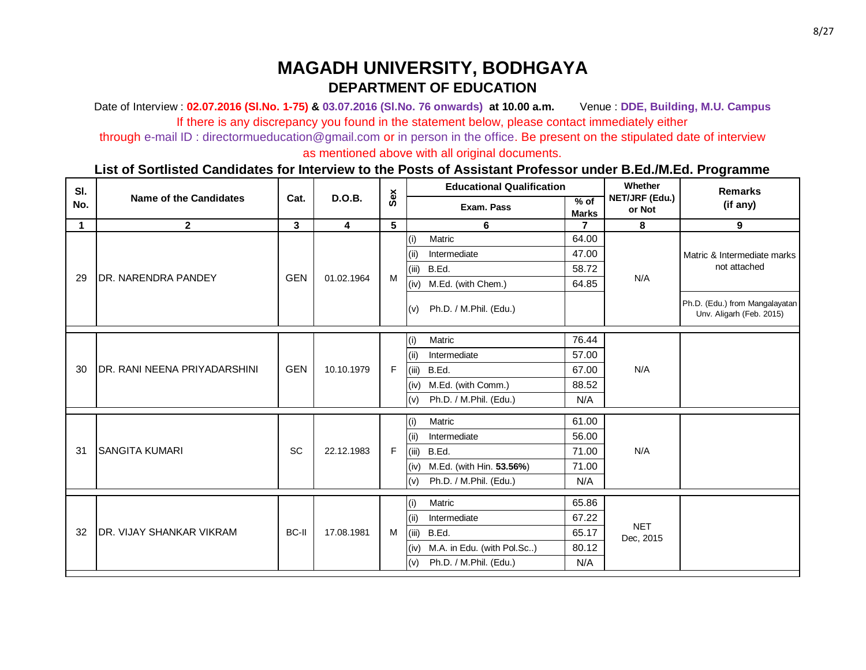Date of Interview : **02.07.2016 (Sl.No. 1-75) & 03.07.2016 (Sl.No. 76 onwards) at 10.00 a.m.** Venue : **DDE, Building, M.U. Campus** If there is any discrepancy you found in the statement below, please contact immediately either

through e-mail ID : directormueducation@gmail.com or in person in the office. Be present on the stipulated date of interview

as mentioned above with all original documents.

| SI.         |                                      |              |                         |     |       | <b>Educational Qualification</b> |                        | Whether                  | <b>Remarks</b>                                             |
|-------------|--------------------------------------|--------------|-------------------------|-----|-------|----------------------------------|------------------------|--------------------------|------------------------------------------------------------|
| No.         | <b>Name of the Candidates</b>        | Cat.         | D.O.B.                  | Sex |       | Exam. Pass                       | $%$ of<br><b>Marks</b> | NET/JRF (Edu.)<br>or Not | (if any)                                                   |
| $\mathbf 1$ | $\overline{2}$                       | $\mathbf{3}$ | $\overline{\mathbf{4}}$ | 5   |       | 6                                |                        | 8                        | $\boldsymbol{9}$                                           |
|             |                                      |              |                         |     | (i)   | Matric                           | 64.00                  |                          |                                                            |
|             |                                      |              |                         |     | (ii)  | Intermediate                     | 47.00                  |                          | Matric & Intermediate marks                                |
|             |                                      |              |                         |     | (iii) | B.Ed.                            | 58.72                  |                          | not attached                                               |
| 29          | <b>DR. NARENDRA PANDEY</b>           | <b>GEN</b>   | 01.02.1964              | M   | (iv)  | M.Ed. (with Chem.)               | 64.85                  | N/A                      |                                                            |
|             |                                      |              |                         |     | (v)   | Ph.D. / M.Phil. (Edu.)           |                        |                          | Ph.D. (Edu.) from Mangalayatan<br>Unv. Aligarh (Feb. 2015) |
|             |                                      |              |                         |     | (i)   | Matric                           | 76.44                  |                          |                                                            |
|             |                                      |              |                         |     | (ii)  | Intermediate                     | 57.00                  |                          |                                                            |
| 30          | <b>IDR. RANI NEENA PRIYADARSHINI</b> | <b>GEN</b>   | 10.10.1979              | F   | (iii) | B.Ed.                            | 67.00                  | N/A                      |                                                            |
|             |                                      |              |                         |     | (iv)  | M.Ed. (with Comm.)               | 88.52                  |                          |                                                            |
|             |                                      |              |                         |     | (v)   | Ph.D. / M.Phil. (Edu.)           | N/A                    |                          |                                                            |
|             |                                      |              |                         |     | (i)   | Matric                           | 61.00                  |                          |                                                            |
|             |                                      |              |                         |     | (ii)  | Intermediate                     | 56.00                  |                          |                                                            |
| 31          | <b>SANGITA KUMARI</b>                | SC           | 22.12.1983              | F   | (iii) | B.Ed.                            | 71.00                  | N/A                      |                                                            |
|             |                                      |              |                         |     | (iv)  | M.Ed. (with Hin. 53.56%)         | 71.00                  |                          |                                                            |
|             |                                      |              |                         |     | (v)   | Ph.D. / M.Phil. (Edu.)           | N/A                    |                          |                                                            |
|             |                                      |              |                         |     | (i)   | Matric                           | 65.86                  |                          |                                                            |
|             |                                      |              |                         |     | (iii) | Intermediate                     | 67.22                  |                          |                                                            |
| 32          | <b>DR. VIJAY SHANKAR VIKRAM</b>      | BC-II        | 17.08.1981              | M   | (iii) | B.Ed.                            | 65.17                  | <b>NET</b><br>Dec, 2015  |                                                            |
|             |                                      |              |                         |     | (iv)  | M.A. in Edu. (with Pol.Sc)       | 80.12                  |                          |                                                            |
|             |                                      |              |                         |     | (v)   | Ph.D. / M.Phil. (Edu.)           | N/A                    |                          |                                                            |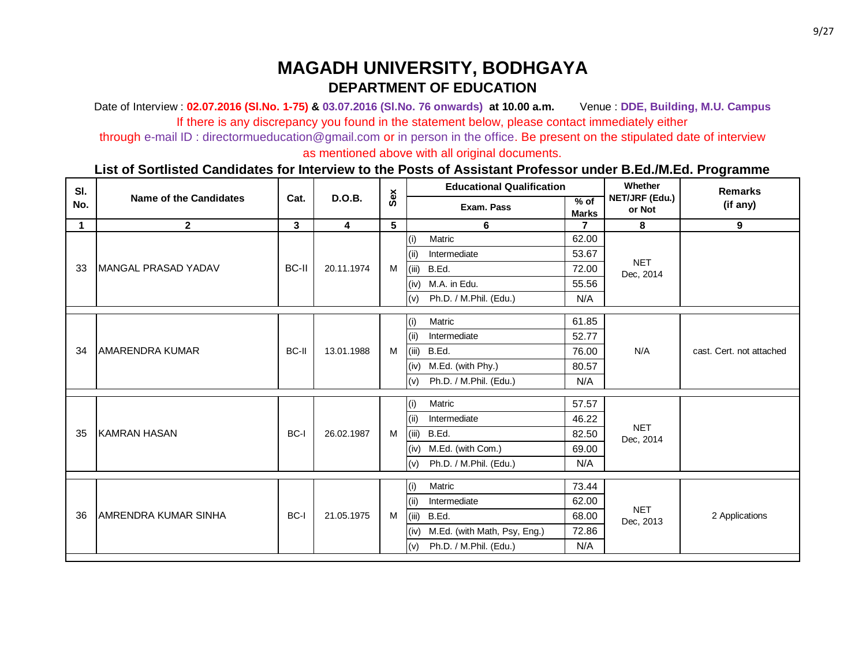Date of Interview : **02.07.2016 (Sl.No. 1-75) & 03.07.2016 (Sl.No. 76 onwards) at 10.00 a.m.** Venue : **DDE, Building, M.U. Campus** If there is any discrepancy you found in the statement below, please contact immediately either

through e-mail ID : directormueducation@gmail.com or in person in the office. Be present on the stipulated date of interview

as mentioned above with all original documents.

| SI.         |                               |                         |                         |     |       | <b>Educational Qualification</b> |                      | Whether                  | <b>Remarks</b>           |  |
|-------------|-------------------------------|-------------------------|-------------------------|-----|-------|----------------------------------|----------------------|--------------------------|--------------------------|--|
| No.         | <b>Name of the Candidates</b> | Cat.                    | <b>D.O.B.</b>           | Sex |       | Exam. Pass                       | % of<br><b>Marks</b> | NET/JRF (Edu.)<br>or Not | (if any)                 |  |
| $\mathbf 1$ | $\mathbf{2}$                  | $\overline{\mathbf{3}}$ | $\overline{\mathbf{4}}$ | 5   |       | 6                                | $\overline{7}$       | 8                        | 9                        |  |
|             |                               |                         |                         |     | (i)   | Matric                           | 62.00                |                          |                          |  |
|             |                               |                         |                         |     | (ii)  | Intermediate                     | 53.67                |                          |                          |  |
| 33          | MANGAL PRASAD YADAV           | <b>BC-II</b>            | 20.11.1974              | M   | (iii) | B.Ed.                            | 72.00                | <b>NET</b><br>Dec, 2014  |                          |  |
|             |                               |                         |                         |     | (iv)  | M.A. in Edu.                     | 55.56                |                          |                          |  |
|             |                               |                         |                         |     | (v)   | Ph.D. / M.Phil. (Edu.)           | N/A                  |                          |                          |  |
|             |                               |                         |                         |     | (i)   | Matric                           | 61.85                |                          |                          |  |
|             |                               |                         |                         | M   | (i)   | Intermediate                     | 52.77                |                          |                          |  |
| 34          | <b>AMARENDRA KUMAR</b>        | <b>BC-II</b>            | 13.01.1988              |     | (iii) | B.Ed.                            | 76.00                | N/A                      | cast. Cert. not attached |  |
|             |                               |                         |                         |     | (iv)  | M.Ed. (with Phy.)                | 80.57                |                          |                          |  |
|             |                               |                         |                         |     | (v)   | Ph.D. / M.Phil. (Edu.)           | N/A                  |                          |                          |  |
|             |                               |                         |                         |     |       | (i)                              | Matric               | 57.57                    |                          |  |
|             |                               |                         |                         |     | (i)   | Intermediate                     | 46.22                |                          |                          |  |
| 35          | KAMRAN HASAN                  | BC-I                    | 26.02.1987              | M   | (iii) | B.Ed.                            | 82.50                | <b>NET</b><br>Dec, 2014  |                          |  |
|             |                               |                         |                         |     | (iv)  | M.Ed. (with Com.)                | 69.00                |                          |                          |  |
|             |                               |                         |                         |     | (v)   | Ph.D. / M.Phil. (Edu.)           | N/A                  |                          |                          |  |
|             |                               |                         |                         |     | (i)   | Matric                           | 73.44                |                          |                          |  |
|             |                               |                         |                         |     | (i)   | Intermediate                     | 62.00                |                          |                          |  |
| 36          | <b>AMRENDRA KUMAR SINHA</b>   | BC-I                    | 21.05.1975              | M   | (iii) | B.Ed.                            | 68.00                | <b>NET</b><br>Dec, 2013  | 2 Applications           |  |
|             |                               |                         |                         |     | (iv)  | M.Ed. (with Math, Psy, Eng.)     | 72.86                |                          |                          |  |
|             |                               |                         |                         |     | (v)   | Ph.D. / M.Phil. (Edu.)           | N/A                  |                          |                          |  |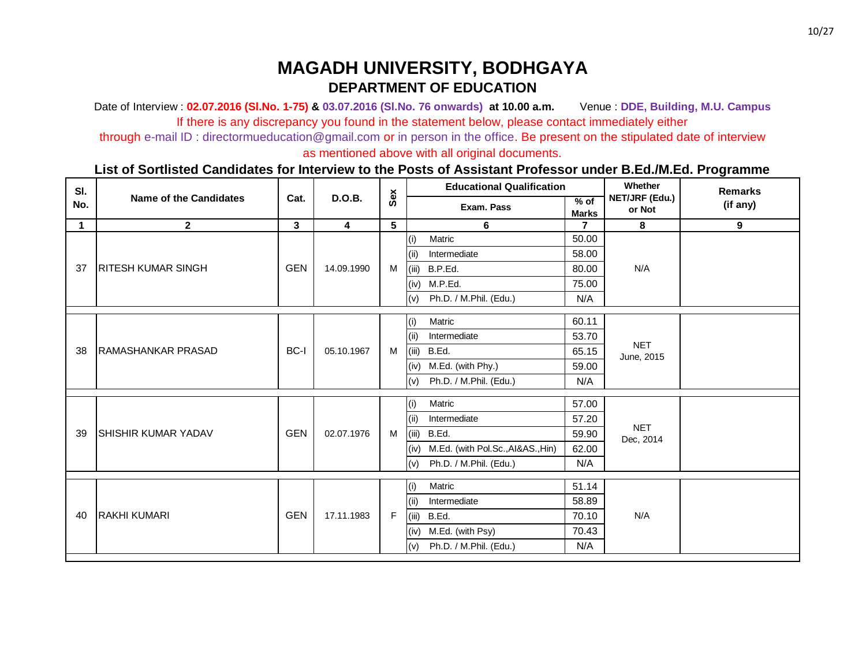Date of Interview : **02.07.2016 (Sl.No. 1-75) & 03.07.2016 (Sl.No. 76 onwards) at 10.00 a.m.** Venue : **DDE, Building, M.U. Campus** If there is any discrepancy you found in the statement below, please contact immediately either

through e-mail ID : directormueducation@gmail.com or in person in the office. Be present on the stipulated date of interview

as mentioned above with all original documents.

| SI.         |                               |              |                         |     |       | <b>Educational Qualification</b>       |                        | Whether                  | <b>Remarks</b> |
|-------------|-------------------------------|--------------|-------------------------|-----|-------|----------------------------------------|------------------------|--------------------------|----------------|
| No.         | <b>Name of the Candidates</b> | Cat.         | <b>D.O.B.</b>           | Sex |       | Exam. Pass                             | $%$ of<br><b>Marks</b> | NET/JRF (Edu.)<br>or Not | (if any)       |
| $\mathbf 1$ | $\mathbf{2}$                  | $\mathbf{3}$ | $\overline{\mathbf{4}}$ | 5   |       | 6                                      | $\overline{7}$         | 8                        | 9              |
|             |                               |              |                         |     | (i)   | Matric                                 | 50.00                  |                          |                |
|             |                               |              |                         |     | (ii)  | Intermediate                           | 58.00                  |                          |                |
| 37          | <b>IRITESH KUMAR SINGH</b>    | <b>GEN</b>   | 14.09.1990              | M   | (iii) | B.P.Ed.                                | 80.00                  | N/A                      |                |
|             |                               |              |                         |     | (iv)  | M.P.Ed.                                | 75.00                  |                          |                |
|             |                               |              |                         |     | (v)   | Ph.D. / M.Phil. (Edu.)                 | N/A                    |                          |                |
|             |                               |              |                         |     | (i)   | Matric                                 | 60.11                  |                          |                |
|             |                               |              |                         |     | (ii)  | Intermediate                           | 53.70                  |                          |                |
| 38          | <b>IRAMASHANKAR PRASAD</b>    | BC-I         | 05.10.1967              | M   | (iii) | B.Ed.                                  | 65.15                  | <b>NET</b>               |                |
|             |                               |              |                         |     | (iv)  | M.Ed. (with Phy.)                      | 59.00                  | June, 2015               |                |
|             |                               |              |                         |     | (v)   | Ph.D. / M.Phil. (Edu.)                 | N/A                    |                          |                |
|             |                               |              |                         |     |       |                                        | 57.00                  |                          |                |
|             |                               |              |                         |     | (i)   | Matric                                 |                        |                          |                |
|             |                               |              |                         |     | (ii)  | Intermediate                           | 57.20                  | <b>NET</b>               |                |
| 39          | <b>SHISHIR KUMAR YADAV</b>    | <b>GEN</b>   | 02.07.1976              | M   | (iii) | B.Ed.                                  | 59.90                  | Dec, 2014                |                |
|             |                               |              |                         |     |       | (iv) M.Ed. (with Pol.Sc., AI&AS., Hin) | 62.00                  |                          |                |
|             |                               |              |                         |     | (v)   | Ph.D. / M.Phil. (Edu.)                 | N/A                    |                          |                |
|             |                               |              |                         |     | (i)   | Matric                                 | 51.14                  |                          |                |
|             |                               |              |                         |     | (ii)  | Intermediate                           | 58.89                  |                          |                |
| 40          | <b>RAKHI KUMARI</b>           | <b>GEN</b>   | 17.11.1983              | F   | (iii) | B.Ed.                                  | 70.10                  | N/A                      |                |
|             |                               |              |                         |     |       | (iv) M.Ed. (with Psy)                  | 70.43                  |                          |                |
|             |                               |              |                         |     | (v)   | Ph.D. / M.Phil. (Edu.)                 | N/A                    |                          |                |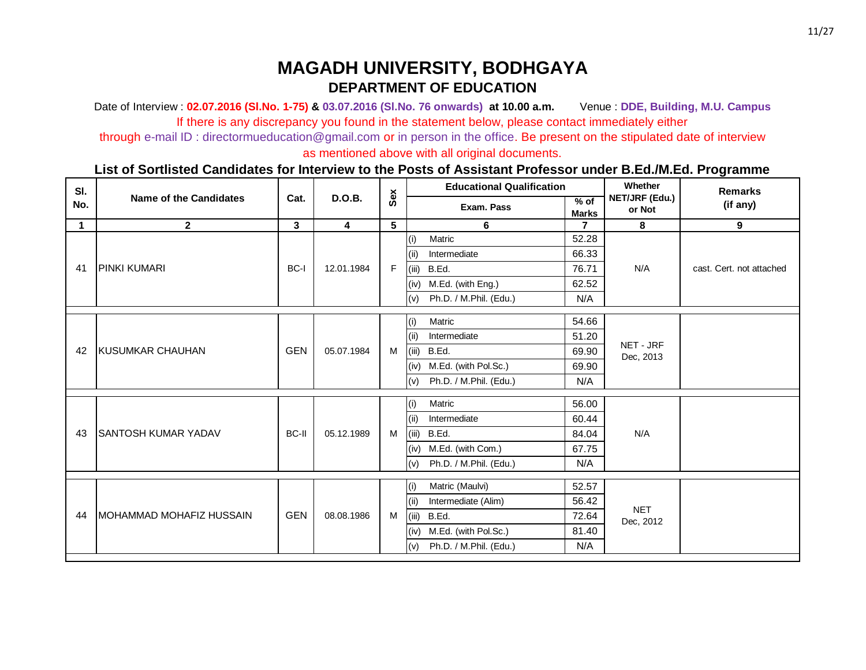Date of Interview : **02.07.2016 (Sl.No. 1-75) & 03.07.2016 (Sl.No. 76 onwards) at 10.00 a.m.** Venue : **DDE, Building, M.U. Campus** If there is any discrepancy you found in the statement below, please contact immediately either

through e-mail ID : directormueducation@gmail.com or in person in the office. Be present on the stipulated date of interview

as mentioned above with all original documents.

| SI.         |                               |            |                         |     |       | <b>Educational Qualification</b> |                        | Whether                  | <b>Remarks</b>           |  |
|-------------|-------------------------------|------------|-------------------------|-----|-------|----------------------------------|------------------------|--------------------------|--------------------------|--|
| No.         | <b>Name of the Candidates</b> | Cat.       | <b>D.O.B.</b>           | Sex |       | Exam. Pass                       | $%$ of<br><b>Marks</b> | NET/JRF (Edu.)<br>or Not | (if any)                 |  |
| $\mathbf 1$ | $\mathbf{2}$                  | 3          | $\overline{\mathbf{4}}$ | 5   |       | 6                                | $\mathbf{7}$           | 8                        | 9                        |  |
|             |                               |            |                         |     | (i)   | Matric                           | 52.28                  |                          |                          |  |
|             |                               |            |                         |     | (ii)  | Intermediate                     | 66.33                  |                          |                          |  |
| 41          | <b>PINKI KUMARI</b>           | BC-I       | 12.01.1984              | F   | (iii) | B.Ed.                            | 76.71                  | N/A                      | cast. Cert. not attached |  |
|             |                               |            |                         |     | (iv)  | M.Ed. (with Eng.)                | 62.52                  |                          |                          |  |
|             |                               |            |                         |     | (v)   | Ph.D. / M.Phil. (Edu.)           | N/A                    |                          |                          |  |
|             |                               |            |                         |     | (i)   | Matric                           | 54.66                  |                          |                          |  |
|             |                               |            |                         | M   | (i)   | Intermediate                     | 51.20                  |                          |                          |  |
| 42          | <b>IKUSUMKAR CHAUHAN</b>      | <b>GEN</b> | 05.07.1984              |     | (iii) | B.Ed.                            | 69.90                  | NET - JRF<br>Dec, 2013   |                          |  |
|             |                               |            |                         |     | (iv)  | M.Ed. (with Pol.Sc.)             | 69.90                  |                          |                          |  |
|             |                               |            |                         |     | (v)   | Ph.D. / M.Phil. (Edu.)           | N/A                    |                          |                          |  |
|             |                               |            |                         |     |       | (i)                              | Matric                 | 56.00                    |                          |  |
|             |                               |            |                         |     | (i)   | Intermediate                     | 60.44                  |                          |                          |  |
| 43          | <b>SANTOSH KUMAR YADAV</b>    | BC-II      | 05.12.1989              | M   |       | (iii) B.Ed.                      | 84.04                  | N/A                      |                          |  |
|             |                               |            |                         |     | (iv)  | M.Ed. (with Com.)                | 67.75                  |                          |                          |  |
|             |                               |            |                         |     | (v)   | Ph.D. / M.Phil. (Edu.)           | N/A                    |                          |                          |  |
|             |                               |            |                         |     | (i)   | Matric (Maulvi)                  | 52.57                  |                          |                          |  |
|             |                               |            |                         |     | (i)   | Intermediate (Alim)              | 56.42                  |                          |                          |  |
| 44          | MOHAMMAD MOHAFIZ HUSSAIN      | <b>GEN</b> | 08.08.1986              | M   | (iii) | B.Ed.                            | 72.64                  | <b>NET</b>               |                          |  |
|             |                               |            |                         |     | (iv)  | M.Ed. (with Pol.Sc.)             | 81.40                  | Dec, 2012                |                          |  |
|             |                               |            |                         |     | (v)   | Ph.D. / M.Phil. (Edu.)           | N/A                    |                          |                          |  |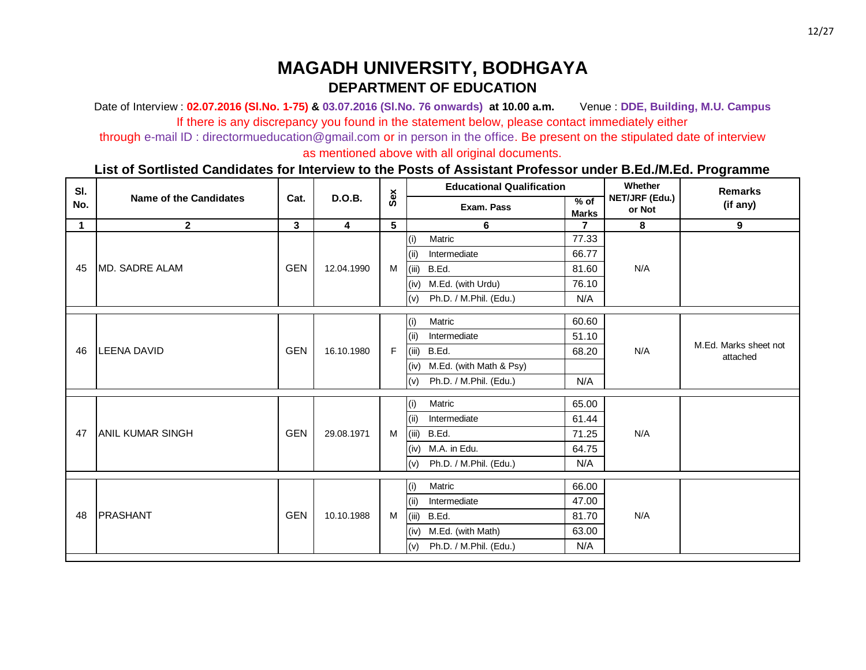Date of Interview : **02.07.2016 (Sl.No. 1-75) & 03.07.2016 (Sl.No. 76 onwards) at 10.00 a.m.** Venue : **DDE, Building, M.U. Campus** If there is any discrepancy you found in the statement below, please contact immediately either

through e-mail ID : directormueducation@gmail.com or in person in the office. Be present on the stipulated date of interview

as mentioned above with all original documents.

| SI.         |                               |            |                         |     |       | <b>Educational Qualification</b> |                        | Whether                  | <b>Remarks</b>                    |  |
|-------------|-------------------------------|------------|-------------------------|-----|-------|----------------------------------|------------------------|--------------------------|-----------------------------------|--|
| No.         | <b>Name of the Candidates</b> | Cat.       | <b>D.O.B.</b>           | Sex |       | Exam. Pass                       | $%$ of<br><b>Marks</b> | NET/JRF (Edu.)<br>or Not | (if any)                          |  |
| $\mathbf 1$ | $\mathbf{2}$                  | 3          | $\overline{\mathbf{4}}$ | 5   |       | 6                                | $\overline{7}$         | 8                        | $9^{\circ}$                       |  |
|             |                               |            |                         |     | (i)   | Matric                           | 77.33                  |                          |                                   |  |
|             |                               |            |                         |     | (ii)  | Intermediate                     | 66.77                  |                          |                                   |  |
| 45          | MD. SADRE ALAM                | <b>GEN</b> | 12.04.1990              | M   | (iii) | B.Ed.                            | 81.60                  | N/A                      |                                   |  |
|             |                               |            |                         |     | (iv)  | M.Ed. (with Urdu)                | 76.10                  |                          |                                   |  |
|             |                               |            |                         |     | (v)   | Ph.D. / M.Phil. (Edu.)           | N/A                    |                          |                                   |  |
|             |                               |            |                         |     | (i)   | Matric                           | 60.60                  |                          |                                   |  |
|             |                               |            |                         |     | (ii)  | Intermediate                     | 51.10                  |                          |                                   |  |
| 46          | <b>LEENA DAVID</b>            | <b>GEN</b> | 16.10.1980              | F   | (iii) | B.Ed.                            | 68.20                  | N/A                      | M.Ed. Marks sheet not<br>attached |  |
|             |                               |            |                         |     | (iv)  | M.Ed. (with Math & Psy)          |                        |                          |                                   |  |
|             |                               |            |                         |     | (v)   | Ph.D. / M.Phil. (Edu.)           | N/A                    |                          |                                   |  |
|             |                               |            |                         |     | (i)   | Matric                           | 65.00                  |                          |                                   |  |
|             |                               |            |                         |     | (i)   | Intermediate                     | 61.44                  |                          |                                   |  |
| 47          | <b>ANIL KUMAR SINGH</b>       | <b>GEN</b> | 29.08.1971              | M   |       | (iii) B.Ed.                      | 71.25                  | N/A                      |                                   |  |
|             |                               |            |                         |     |       | (iv)                             | M.A. in Edu.           | 64.75                    |                                   |  |
|             |                               |            |                         |     | (v)   | Ph.D. / M.Phil. (Edu.)           | N/A                    |                          |                                   |  |
|             |                               |            |                         |     | (i)   | Matric                           | 66.00                  |                          |                                   |  |
|             |                               |            |                         |     | (i)   | Intermediate                     | 47.00                  |                          |                                   |  |
| 48          | PRASHANT                      | <b>GEN</b> | 10.10.1988              | M   | (iii) | B.Ed.                            | 81.70                  | N/A                      |                                   |  |
|             |                               |            |                         |     | (iv)  | M.Ed. (with Math)                | 63.00                  |                          |                                   |  |
|             |                               |            |                         |     | (v)   | Ph.D. / M.Phil. (Edu.)           | N/A                    |                          |                                   |  |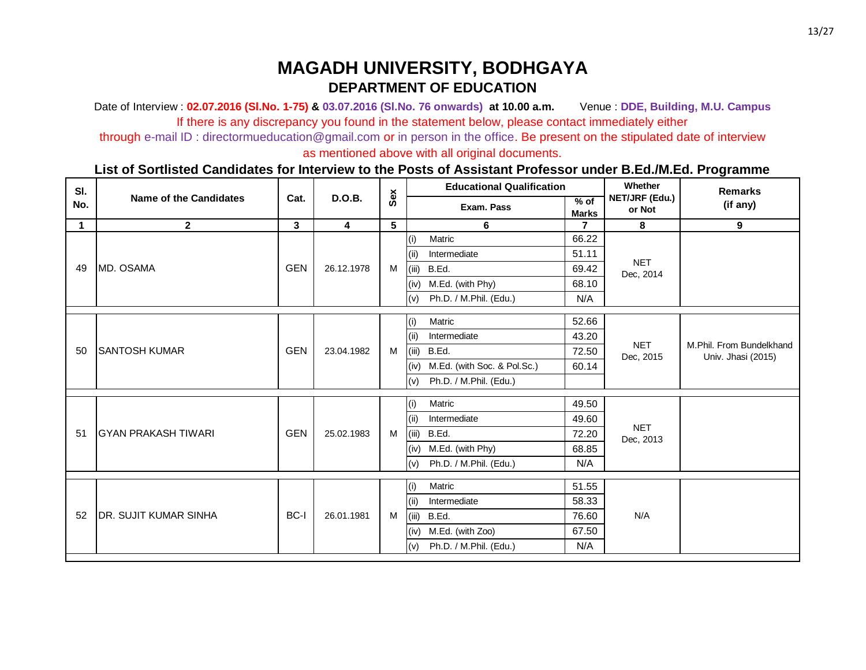Date of Interview : **02.07.2016 (Sl.No. 1-75) & 03.07.2016 (Sl.No. 76 onwards) at 10.00 a.m.** Venue : **DDE, Building, M.U. Campus** If there is any discrepancy you found in the statement below, please contact immediately either

through e-mail ID : directormueducation@gmail.com or in person in the office. Be present on the stipulated date of interview

as mentioned above with all original documents.

| SI.         |                               |                         |                         |   | <b>Educational Qualification</b><br>Sex |                             | Whether                | <b>Remarks</b>           |                                                |
|-------------|-------------------------------|-------------------------|-------------------------|---|-----------------------------------------|-----------------------------|------------------------|--------------------------|------------------------------------------------|
| No.         | <b>Name of the Candidates</b> | Cat.                    | <b>D.O.B.</b>           |   |                                         | Exam. Pass                  | $%$ of<br><b>Marks</b> | NET/JRF (Edu.)<br>or Not | (if any)                                       |
| $\mathbf 1$ | $\mathbf{2}$                  | $\overline{\mathbf{3}}$ | $\overline{\mathbf{4}}$ | 5 |                                         | 6                           | 7                      | 8                        | 9                                              |
|             |                               |                         |                         |   | (i)                                     | Matric                      | 66.22                  |                          |                                                |
|             |                               |                         |                         |   | (ii)                                    | Intermediate                | 51.11                  |                          |                                                |
| 49          | MD. OSAMA                     | <b>GEN</b>              | 26.12.1978              | M | (iii)                                   | B.Ed.                       | 69.42                  | <b>NET</b><br>Dec, 2014  |                                                |
|             |                               |                         |                         |   | (iv)                                    | M.Ed. (with Phy)            | 68.10                  |                          |                                                |
|             |                               |                         |                         |   | (v)                                     | Ph.D. / M.Phil. (Edu.)      | N/A                    |                          |                                                |
|             |                               |                         |                         |   | (i)                                     | Matric                      | 52.66                  |                          |                                                |
|             |                               |                         |                         |   | (i)                                     | Intermediate                | 43.20                  |                          |                                                |
| 50          | <b>SANTOSH KUMAR</b>          | <b>GEN</b>              | 23.04.1982              | M | (iii)                                   | B.Ed.                       | 72.50                  | <b>NET</b><br>Dec, 2015  | M.Phil. From Bundelkhand<br>Univ. Jhasi (2015) |
|             |                               |                         |                         |   | (iv)                                    | M.Ed. (with Soc. & Pol.Sc.) | 60.14                  |                          |                                                |
|             |                               |                         |                         |   | (v)                                     | Ph.D. / M.Phil. (Edu.)      |                        |                          |                                                |
|             |                               |                         |                         |   | (i)                                     | Matric                      | 49.50                  |                          |                                                |
|             |                               |                         |                         |   | (i)                                     | Intermediate                | 49.60                  |                          |                                                |
| 51          | <b>GYAN PRAKASH TIWARI</b>    | <b>GEN</b>              | 25.02.1983              | M | (iii)                                   | B.Ed.                       | 72.20                  | <b>NET</b><br>Dec, 2013  |                                                |
|             |                               |                         |                         |   | (iv)                                    | M.Ed. (with Phy)            | 68.85                  |                          |                                                |
|             |                               |                         |                         |   | (v)                                     | Ph.D. / M.Phil. (Edu.)      | N/A                    |                          |                                                |
|             |                               |                         |                         |   | (i)                                     | Matric                      | 51.55                  |                          |                                                |
|             |                               |                         |                         |   | (i)                                     | Intermediate                | 58.33                  |                          |                                                |
| 52          | <b>DR. SUJIT KUMAR SINHA</b>  | BC-I                    | 26.01.1981              | M | (iii)                                   | B.Ed.                       | 76.60                  | N/A                      |                                                |
|             |                               |                         |                         |   | (iv)                                    | M.Ed. (with Zoo)            | 67.50                  |                          |                                                |
|             |                               |                         |                         |   | (v)                                     | Ph.D. / M.Phil. (Edu.)      | N/A                    |                          |                                                |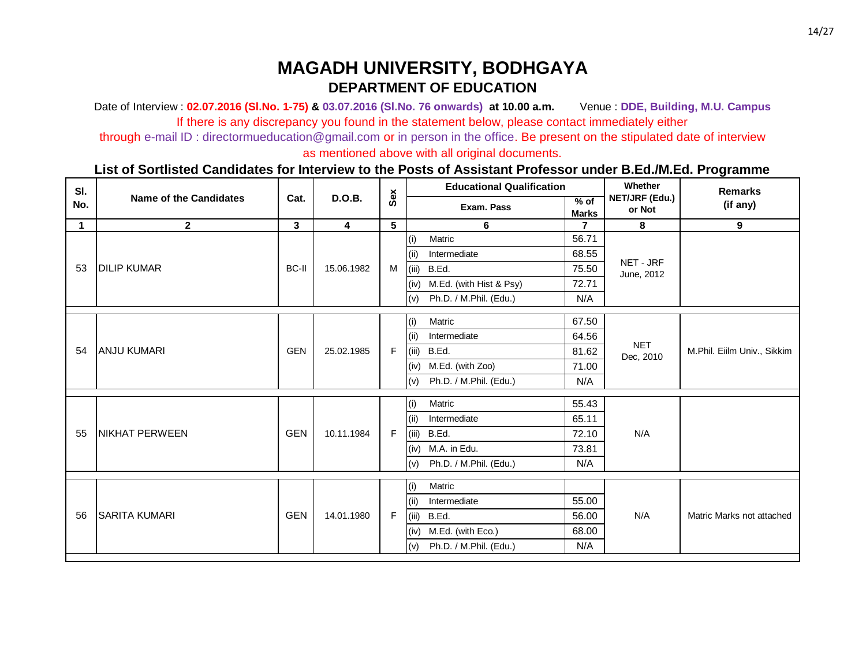Date of Interview : **02.07.2016 (Sl.No. 1-75) & 03.07.2016 (Sl.No. 76 onwards) at 10.00 a.m.** Venue : **DDE, Building, M.U. Campus** If there is any discrepancy you found in the statement below, please contact immediately either

through e-mail ID : directormueducation@gmail.com or in person in the office. Be present on the stipulated date of interview

as mentioned above with all original documents.

| SI.         |                               |              |                         |     |       | <b>Educational Qualification</b> |                        | Whether                  | <b>Remarks</b>              |
|-------------|-------------------------------|--------------|-------------------------|-----|-------|----------------------------------|------------------------|--------------------------|-----------------------------|
| No.         | <b>Name of the Candidates</b> | Cat.         | <b>D.O.B.</b>           | Sex |       | Exam. Pass                       | $%$ of<br><b>Marks</b> | NET/JRF (Edu.)<br>or Not | (if any)                    |
| $\mathbf 1$ | $\mathbf{2}$                  | $\mathbf{3}$ | $\overline{\mathbf{4}}$ | 5   |       | 6                                | $\overline{7}$         | 8                        | 9                           |
|             |                               |              |                         |     | (i)   | Matric                           | 56.71                  |                          |                             |
|             |                               |              |                         |     | (ii)  | Intermediate                     | 68.55                  |                          |                             |
| 53          | <b>DILIP KUMAR</b>            | BC-II        | 15.06.1982              | M   | (iii) | B.Ed.                            | 75.50                  | NET - JRF<br>June, 2012  |                             |
|             |                               |              |                         |     | (iv)  | M.Ed. (with Hist & Psy)          | 72.71                  |                          |                             |
|             |                               |              |                         |     | (v)   | Ph.D. / M.Phil. (Edu.)           | N/A                    |                          |                             |
|             |                               |              |                         |     | (i)   | Matric                           | 67.50                  |                          |                             |
|             |                               |              |                         |     | (ii)  | Intermediate                     | 64.56                  |                          |                             |
| 54          | <b>ANJU KUMARI</b>            | <b>GEN</b>   | 25.02.1985              | F   | (iii) | B.Ed.                            | 81.62                  | <b>NET</b><br>Dec, 2010  | M.Phil. Eiilm Univ., Sikkim |
|             |                               |              |                         |     | (iv)  | M.Ed. (with Zoo)                 | 71.00                  |                          |                             |
|             |                               |              |                         |     | (v)   | Ph.D. / M.Phil. (Edu.)           | N/A                    |                          |                             |
|             |                               |              |                         |     | (i)   | Matric                           | 55.43                  |                          |                             |
|             |                               |              |                         |     | (ii)  | Intermediate                     | 65.11                  |                          |                             |
| 55          | <b>NIKHAT PERWEEN</b>         | <b>GEN</b>   | 10.11.1984              | F   | (iii) | B.Ed.                            | 72.10                  | N/A                      |                             |
|             |                               |              |                         |     | (iv)  | M.A. in Edu.                     | 73.81                  |                          |                             |
|             |                               |              |                         |     | (v)   | Ph.D. / M.Phil. (Edu.)           | N/A                    |                          |                             |
|             |                               |              |                         |     | (i)   | Matric                           |                        |                          |                             |
|             |                               |              |                         |     | (ii)  | Intermediate                     | 55.00                  |                          |                             |
| 56          | <b>SARITA KUMARI</b>          | <b>GEN</b>   | 14.01.1980              | F   | (iii) | B.Ed.                            | 56.00                  | N/A                      | Matric Marks not attached   |
|             |                               |              |                         |     | (iv)  | M.Ed. (with Eco.)                | 68.00                  |                          |                             |
|             |                               |              |                         |     | (v)   | Ph.D. / M.Phil. (Edu.)           | N/A                    |                          |                             |
|             |                               |              |                         |     |       |                                  |                        |                          |                             |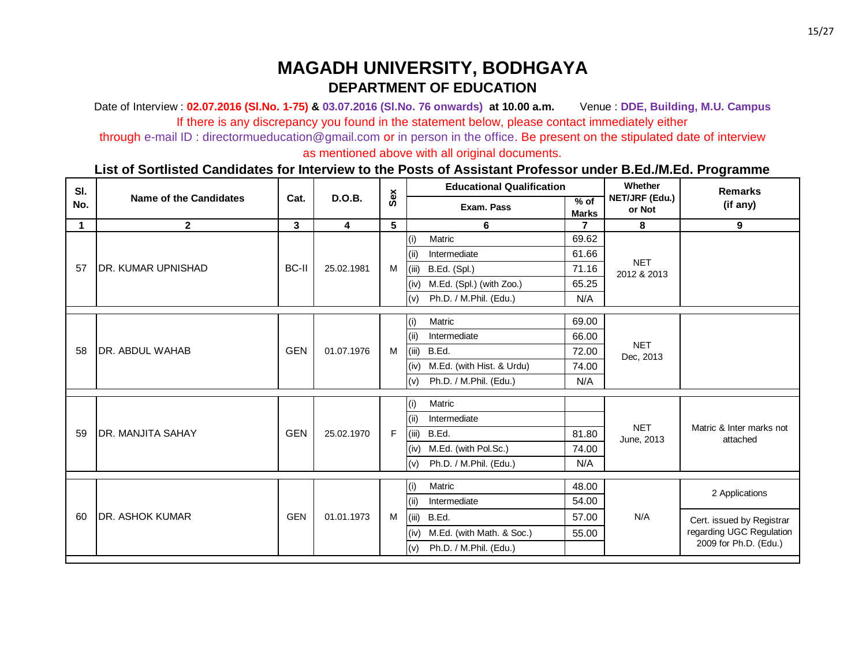Date of Interview : **02.07.2016 (Sl.No. 1-75) & 03.07.2016 (Sl.No. 76 onwards) at 10.00 a.m.** Venue : **DDE, Building, M.U. Campus** If there is any discrepancy you found in the statement below, please contact immediately either

through e-mail ID : directormueducation@gmail.com or in person in the office. Be present on the stipulated date of interview

as mentioned above with all original documents.

| SI.         |                               |              |                         |     |       | <b>Educational Qualification</b> |                           | Whether                   | <b>Remarks</b>            |                          |  |  |  |  |
|-------------|-------------------------------|--------------|-------------------------|-----|-------|----------------------------------|---------------------------|---------------------------|---------------------------|--------------------------|--|--|--|--|
| No.         | <b>Name of the Candidates</b> | Cat.         | <b>D.O.B.</b>           | Sex |       | Exam. Pass                       | $%$ of<br><b>Marks</b>    | NET/JRF (Edu.)<br>or Not  | (if any)                  |                          |  |  |  |  |
| $\mathbf 1$ | $\mathbf{2}$                  | 3            | $\overline{\mathbf{4}}$ | 5   |       | 6                                | $\overline{7}$            | 8                         | 9                         |                          |  |  |  |  |
|             |                               |              |                         |     | (i)   | Matric                           | 69.62                     |                           |                           |                          |  |  |  |  |
|             |                               |              |                         |     | (iii) | Intermediate                     | 61.66                     |                           |                           |                          |  |  |  |  |
| 57          | <b>DR. KUMAR UPNISHAD</b>     | <b>BC-II</b> | 25.02.1981              | M   | (iii) | B.Ed. (Spl.)                     | 71.16                     | <b>NET</b><br>2012 & 2013 |                           |                          |  |  |  |  |
|             |                               |              |                         |     | (iv)  | M.Ed. (Spl.) (with Zoo.)         | 65.25                     |                           |                           |                          |  |  |  |  |
|             |                               |              |                         |     | (v)   | Ph.D. / M.Phil. (Edu.)           | N/A                       |                           |                           |                          |  |  |  |  |
|             |                               |              |                         |     | (i)   | Matric                           | 69.00                     |                           |                           |                          |  |  |  |  |
|             |                               |              |                         |     | (ii)  | Intermediate                     | 66.00                     |                           |                           |                          |  |  |  |  |
| 58          | <b>DR. ABDUL WAHAB</b>        | <b>GEN</b>   | 01.07.1976              | M   | (iii) | B.Ed.                            | 72.00                     | <b>NET</b>                |                           |                          |  |  |  |  |
|             |                               |              |                         |     | (iv)  | M.Ed. (with Hist. & Urdu)        | 74.00                     | Dec, 2013                 |                           |                          |  |  |  |  |
|             |                               |              |                         |     | (v)   | Ph.D. / M.Phil. (Edu.)           | N/A                       |                           |                           |                          |  |  |  |  |
|             |                               |              |                         |     | (i)   | Matric                           |                           |                           |                           |                          |  |  |  |  |
|             |                               |              |                         |     | (ii)  | Intermediate                     |                           |                           |                           |                          |  |  |  |  |
| 59          | <b>IDR. MANJITA SAHAY</b>     | <b>GEN</b>   | 25.02.1970              | F   | (iii) | B.Ed.                            | 81.80                     | <b>NET</b>                | Matric & Inter marks not  |                          |  |  |  |  |
|             |                               |              |                         |     | (iv)  | M.Ed. (with Pol.Sc.)             | 74.00                     | June, 2013                | attached                  |                          |  |  |  |  |
|             |                               |              |                         |     |       |                                  |                           |                           |                           | (v)                      |  |  |  |  |
|             |                               |              |                         |     |       | Ph.D. / M.Phil. (Edu.)           | N/A                       |                           |                           |                          |  |  |  |  |
|             |                               |              |                         |     | (i)   | Matric                           | 48.00                     |                           |                           |                          |  |  |  |  |
|             |                               |              |                         |     | (ii)  | Intermediate                     | 54.00                     |                           | 2 Applications            |                          |  |  |  |  |
| 60          | <b>IDR. ASHOK KUMAR</b>       | <b>GEN</b>   | 01.01.1973              | M   | (iii) | B.Ed.                            | 57.00                     | N/A                       | Cert. issued by Registrar |                          |  |  |  |  |
|             |                               |              |                         |     |       | (iv)                             | M.Ed. (with Math. & Soc.) | 55.00                     |                           | regarding UGC Regulation |  |  |  |  |
|             |                               |              |                         |     | (v)   | Ph.D. / M.Phil. (Edu.)           |                           |                           | 2009 for Ph.D. (Edu.)     |                          |  |  |  |  |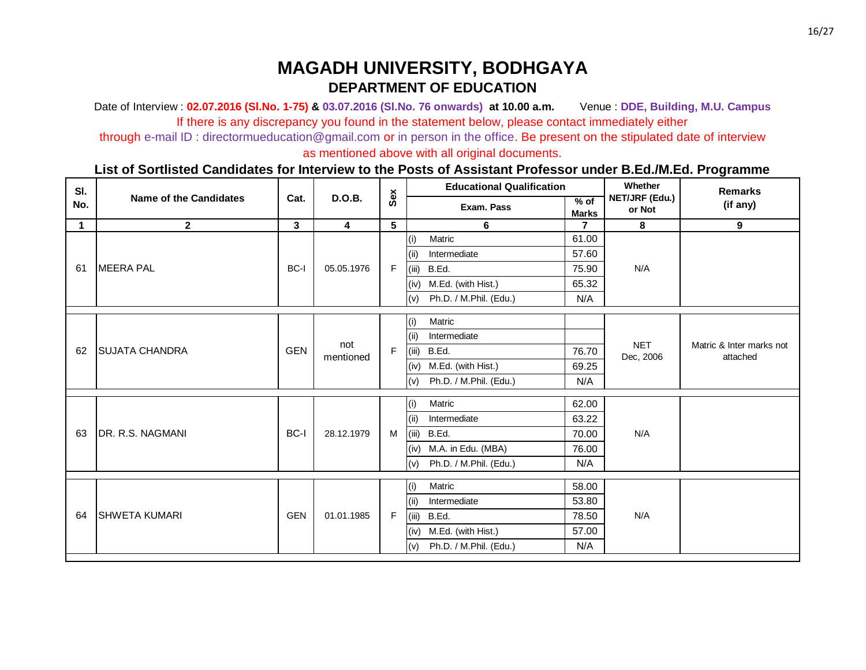Date of Interview : **02.07.2016 (Sl.No. 1-75) & 03.07.2016 (Sl.No. 76 onwards) at 10.00 a.m.** Venue : **DDE, Building, M.U. Campus** If there is any discrepancy you found in the statement below, please contact immediately either

through e-mail ID : directormueducation@gmail.com or in person in the office. Be present on the stipulated date of interview

as mentioned above with all original documents.

| SI.         |                               |                         |                         |   | Sex   | <b>Educational Qualification</b> |                        | Whether                  | <b>Remarks</b>                       |
|-------------|-------------------------------|-------------------------|-------------------------|---|-------|----------------------------------|------------------------|--------------------------|--------------------------------------|
| No.         | <b>Name of the Candidates</b> | Cat.                    | <b>D.O.B.</b>           |   |       | Exam. Pass                       | $%$ of<br><b>Marks</b> | NET/JRF (Edu.)<br>or Not | (if any)                             |
| $\mathbf 1$ | $\mathbf{2}$                  | $\overline{\mathbf{3}}$ | $\overline{\mathbf{4}}$ | 5 |       | 6                                | $\overline{7}$         | 8                        | 9                                    |
|             |                               |                         |                         |   | (i)   | Matric                           | 61.00                  |                          |                                      |
|             |                               |                         |                         |   | (ii)  | Intermediate                     | 57.60                  |                          |                                      |
| 61          | <b>MEERA PAL</b>              | BC-I                    | 05.05.1976              | F | (iii) | B.Ed.                            | 75.90                  | N/A                      |                                      |
|             |                               |                         |                         |   | (iv)  | M.Ed. (with Hist.)               | 65.32                  |                          |                                      |
|             |                               |                         |                         |   | (v)   | Ph.D. / M.Phil. (Edu.)           | N/A                    |                          |                                      |
|             |                               |                         |                         |   | (i)   | Matric                           |                        |                          |                                      |
|             |                               |                         |                         |   | (ii)  | Intermediate                     |                        |                          |                                      |
| 62          | <b>SUJATA CHANDRA</b>         | <b>GEN</b>              | not                     | F | (iii) | B.Ed.                            | 76.70                  | <b>NET</b><br>Dec, 2006  | Matric & Inter marks not<br>attached |
|             |                               |                         | mentioned               |   | (iv)  | M.Ed. (with Hist.)               | 69.25                  |                          |                                      |
|             |                               |                         |                         |   | (v)   | Ph.D. / M.Phil. (Edu.)           | N/A                    |                          |                                      |
|             |                               |                         |                         |   | (i)   | Matric                           | 62.00                  |                          |                                      |
|             |                               |                         |                         |   | (i)   | Intermediate                     | 63.22                  |                          |                                      |
| 63          | DR. R.S. NAGMANI              | BC-I                    | 28.12.1979              | M | (iii) | B.Ed.                            | 70.00                  | N/A                      |                                      |
|             |                               |                         |                         |   | (iv)  | M.A. in Edu. (MBA)               | 76.00                  |                          |                                      |
|             |                               |                         |                         |   | (v)   | Ph.D. / M.Phil. (Edu.)           | N/A                    |                          |                                      |
|             |                               |                         |                         |   | (i)   | Matric                           | 58.00                  |                          |                                      |
|             |                               |                         |                         |   | (i)   | Intermediate                     | 53.80                  |                          |                                      |
| 64          | <b>SHWETA KUMARI</b>          | <b>GEN</b>              | 01.01.1985              | F | (iii) | B.Ed.                            | 78.50                  | N/A                      |                                      |
|             |                               |                         |                         |   | (iv)  | M.Ed. (with Hist.)               | 57.00                  |                          |                                      |
|             |                               |                         |                         |   | (v)   | Ph.D. / M.Phil. (Edu.)           | N/A                    |                          |                                      |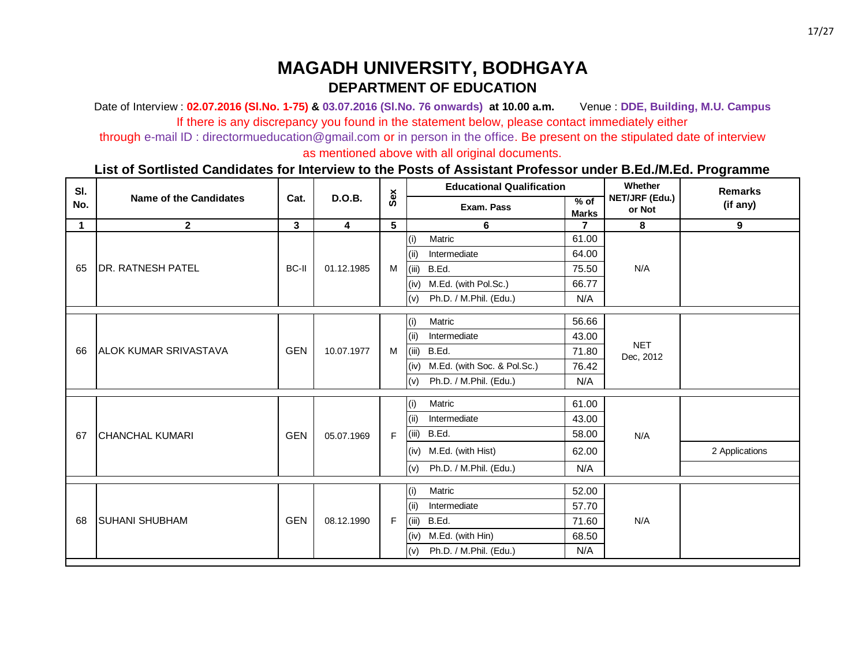Date of Interview : **02.07.2016 (Sl.No. 1-75) & 03.07.2016 (Sl.No. 76 onwards) at 10.00 a.m.** Venue : **DDE, Building, M.U. Campus** If there is any discrepancy you found in the statement below, please contact immediately either

through e-mail ID : directormueducation@gmail.com or in person in the office. Be present on the stipulated date of interview

as mentioned above with all original documents.

| SI.         |                               |              |                         | <b>Educational Qualification</b><br>Sex |       | Whether                     | <b>Remarks</b>         |                          |                |
|-------------|-------------------------------|--------------|-------------------------|-----------------------------------------|-------|-----------------------------|------------------------|--------------------------|----------------|
| No.         | <b>Name of the Candidates</b> | Cat.         | <b>D.O.B.</b>           |                                         |       | Exam. Pass                  | $%$ of<br><b>Marks</b> | NET/JRF (Edu.)<br>or Not | (if any)       |
| $\mathbf 1$ | $\mathbf{2}$                  | $\mathbf{3}$ | $\overline{\mathbf{4}}$ | 5                                       |       | 6                           | 7                      | 8                        | 9              |
|             |                               |              |                         |                                         | (i)   | Matric                      | 61.00                  |                          |                |
|             |                               |              |                         |                                         | (ii)  | Intermediate                | 64.00                  |                          |                |
| 65          | <b>DR. RATNESH PATEL</b>      | BC-II        | 01.12.1985              | M                                       | (iii) | B.Ed.                       | 75.50                  | N/A                      |                |
|             |                               |              |                         |                                         | (iv)  | M.Ed. (with Pol.Sc.)        | 66.77                  |                          |                |
|             |                               |              |                         |                                         | (v)   | Ph.D. / M.Phil. (Edu.)      | N/A                    |                          |                |
|             |                               |              |                         |                                         | (i)   | Matric                      | 56.66                  |                          |                |
|             |                               |              |                         |                                         | (i)   | Intermediate                | 43.00                  |                          |                |
| 66          | <b>JALOK KUMAR SRIVASTAVA</b> | <b>GEN</b>   | 10.07.1977              | M                                       | (iii) | B.Ed.                       | 71.80                  | <b>NET</b>               |                |
|             |                               |              |                         |                                         | (iv)  | M.Ed. (with Soc. & Pol.Sc.) | 76.42                  | Dec, 2012                |                |
|             |                               |              |                         |                                         | (v)   | Ph.D. / M.Phil. (Edu.)      | N/A                    |                          |                |
|             |                               |              |                         |                                         |       |                             |                        |                          |                |
|             |                               |              |                         |                                         | (i)   | Matric                      | 61.00                  |                          |                |
|             |                               |              |                         |                                         | (ii)  | Intermediate                | 43.00                  |                          |                |
| 67          | <b>CHANCHAL KUMARI</b>        | <b>GEN</b>   | 05.07.1969              | F                                       | (iii) | B.Ed.                       | 58.00                  | N/A                      |                |
|             |                               |              |                         |                                         | (iv)  | M.Ed. (with Hist)           | 62.00                  |                          | 2 Applications |
|             |                               |              |                         |                                         | (v)   | Ph.D. / M.Phil. (Edu.)      | N/A                    |                          |                |
|             |                               |              |                         |                                         |       |                             |                        |                          |                |
|             |                               |              |                         |                                         | (i)   | Matric                      | 52.00                  |                          |                |
|             |                               |              |                         |                                         | (ii)  | Intermediate                | 57.70                  |                          |                |
| 68          | <b>SUHANI SHUBHAM</b>         | <b>GEN</b>   | 08.12.1990              | F                                       | (iii) | B.Ed.                       | 71.60                  | N/A                      |                |
|             |                               |              |                         |                                         | (iv)  | M.Ed. (with Hin)            | 68.50                  |                          |                |
|             |                               |              |                         |                                         | (v)   | Ph.D. / M.Phil. (Edu.)      | N/A                    |                          |                |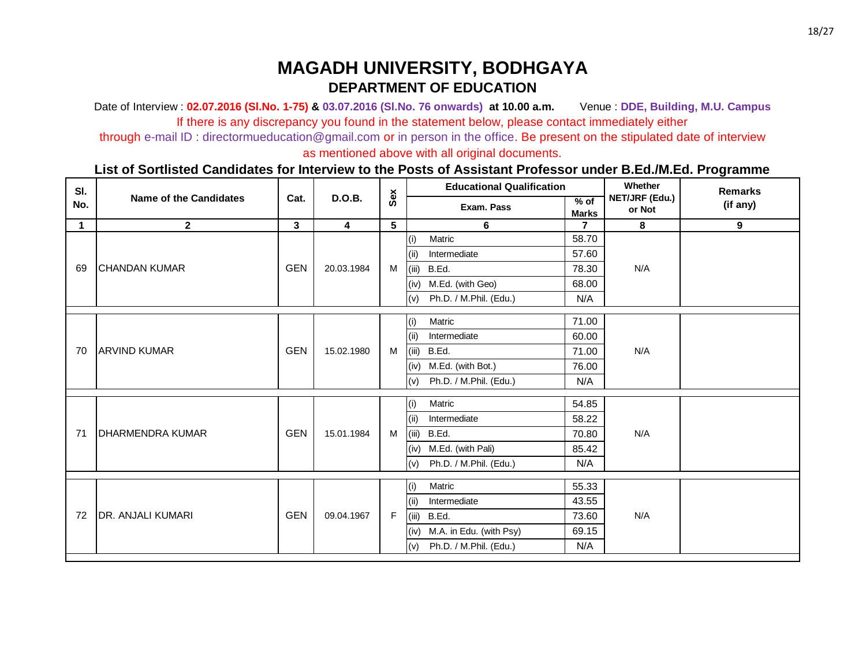Date of Interview : **02.07.2016 (Sl.No. 1-75) & 03.07.2016 (Sl.No. 76 onwards) at 10.00 a.m.** Venue : **DDE, Building, M.U. Campus** If there is any discrepancy you found in the statement below, please contact immediately either

through e-mail ID : directormueducation@gmail.com or in person in the office. Be present on the stipulated date of interview

as mentioned above with all original documents.

| SI.         |                               |            |                         |   | <b>Educational Qualification</b><br>Sex |                         |                      | Whether                  | <b>Remarks</b> |
|-------------|-------------------------------|------------|-------------------------|---|-----------------------------------------|-------------------------|----------------------|--------------------------|----------------|
| No.         | <b>Name of the Candidates</b> | Cat.       | <b>D.O.B.</b>           |   |                                         | Exam. Pass              | % of<br><b>Marks</b> | NET/JRF (Edu.)<br>or Not | (if any)       |
| $\mathbf 1$ | $\mathbf{2}$                  | 3          | $\overline{\mathbf{4}}$ | 5 |                                         | 6                       | $\overline{7}$       | 8                        | $9^{\circ}$    |
|             |                               |            |                         |   | (i)                                     | Matric                  | 58.70                |                          |                |
|             |                               |            |                         |   | (ii)                                    | Intermediate            | 57.60                |                          |                |
| 69          | <b>CHANDAN KUMAR</b>          | <b>GEN</b> | 20.03.1984              | M | (iii)                                   | B.Ed.                   | 78.30                | N/A                      |                |
|             |                               |            |                         |   | (iv)                                    | M.Ed. (with Geo)        | 68.00                |                          |                |
|             |                               |            |                         |   | (v)                                     | Ph.D. / M.Phil. (Edu.)  | N/A                  |                          |                |
|             |                               |            |                         |   | (i)                                     | Matric                  | 71.00                |                          |                |
|             |                               |            |                         |   | (iii)                                   | Intermediate            | 60.00                |                          |                |
| 70          | <b>ARVIND KUMAR</b>           | <b>GEN</b> | 15.02.1980              | M | (iii)                                   | B.Ed.                   | 71.00                | N/A                      |                |
|             |                               |            |                         |   | (iv)                                    | M.Ed. (with Bot.)       | 76.00                |                          |                |
|             |                               |            |                         |   | (v)                                     | Ph.D. / M.Phil. (Edu.)  | N/A                  |                          |                |
|             |                               |            |                         |   | (i)                                     | Matric                  | 54.85                |                          |                |
|             |                               |            |                         |   | (i)                                     | Intermediate            | 58.22                |                          |                |
| 71          | <b>IDHARMENDRA KUMAR</b>      | <b>GEN</b> | 15.01.1984              | M | (iii)                                   | B.Ed.                   | 70.80                | N/A                      |                |
|             |                               |            |                         |   | (iv)                                    | M.Ed. (with Pali)       | 85.42                |                          |                |
|             |                               |            |                         |   | (v)                                     | Ph.D. / M.Phil. (Edu.)  | N/A                  |                          |                |
|             |                               |            |                         |   | (i)                                     | Matric                  | 55.33                |                          |                |
|             |                               |            |                         |   | (i)                                     | Intermediate            | 43.55                |                          |                |
| 72          | <b>DR. ANJALI KUMARI</b>      | <b>GEN</b> | 09.04.1967              | F | (iii)                                   | B.Ed.                   | 73.60                | N/A                      |                |
|             |                               |            |                         |   | (iv)                                    | M.A. in Edu. (with Psy) | 69.15                |                          |                |
|             |                               |            |                         |   | (v)                                     | Ph.D. / M.Phil. (Edu.)  | N/A                  |                          |                |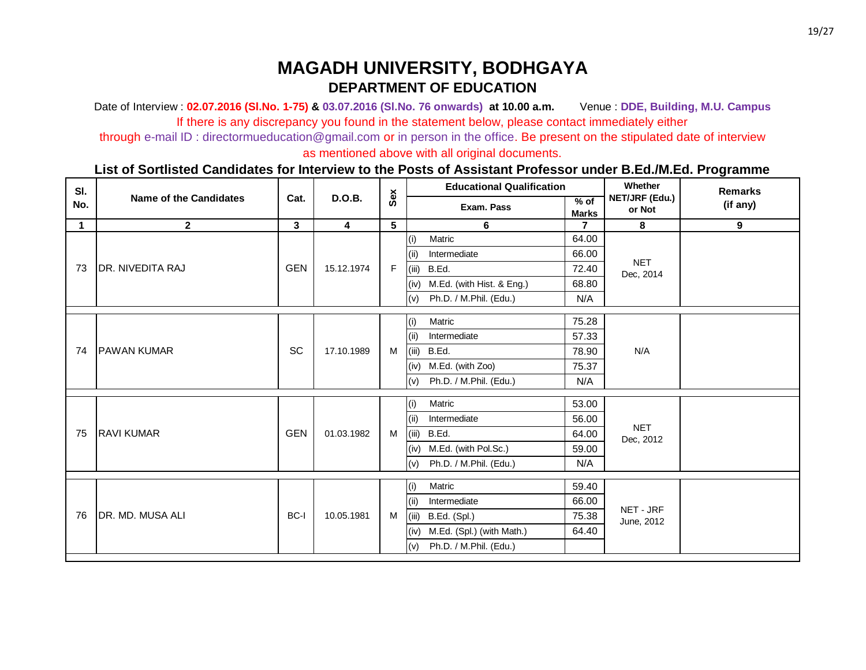Date of Interview : **02.07.2016 (Sl.No. 1-75) & 03.07.2016 (Sl.No. 76 onwards) at 10.00 a.m.** Venue : **DDE, Building, M.U. Campus** If there is any discrepancy you found in the statement below, please contact immediately either

through e-mail ID : directormueducation@gmail.com or in person in the office. Be present on the stipulated date of interview

as mentioned above with all original documents.

| SI.         |                               |                         |                         |     |       | <b>Educational Qualification</b> |                        | Whether                  | <b>Remarks</b> |
|-------------|-------------------------------|-------------------------|-------------------------|-----|-------|----------------------------------|------------------------|--------------------------|----------------|
| No.         | <b>Name of the Candidates</b> | Cat.                    | <b>D.O.B.</b>           | Sex |       | Exam. Pass                       | $%$ of<br><b>Marks</b> | NET/JRF (Edu.)<br>or Not | (if any)       |
| $\mathbf 1$ | $\mathbf{2}$                  | $\overline{\mathbf{3}}$ | $\overline{\mathbf{4}}$ | 5   |       | 6                                | $\overline{7}$         | 8                        | 9              |
|             |                               |                         |                         |     | (i)   | Matric                           | 64.00                  |                          |                |
|             |                               |                         |                         |     | (ii)  | Intermediate                     | 66.00                  |                          |                |
| 73          | <b>DR. NIVEDITA RAJ</b>       | <b>GEN</b>              | 15.12.1974              | F   | (iii) | B.Ed.                            | 72.40                  | <b>NET</b><br>Dec, 2014  |                |
|             |                               |                         |                         |     | (iv)  | M.Ed. (with Hist. & Eng.)        | 68.80                  |                          |                |
|             |                               |                         |                         |     | (v)   | Ph.D. / M.Phil. (Edu.)           | N/A                    |                          |                |
|             |                               |                         |                         |     | (i)   | Matric                           | 75.28                  |                          |                |
|             |                               |                         |                         |     | (i)   | Intermediate                     | 57.33                  |                          |                |
| 74          | <b>IPAWAN KUMAR</b>           | <b>SC</b>               | 17.10.1989              | M   | (iii) | B.Ed.                            | 78.90                  | N/A                      |                |
|             |                               |                         |                         |     | (iv)  | M.Ed. (with Zoo)                 | 75.37                  |                          |                |
|             |                               |                         |                         |     | (v)   | Ph.D. / M.Phil. (Edu.)           | N/A                    |                          |                |
|             |                               |                         |                         |     | (i)   | Matric                           | 53.00                  |                          |                |
|             |                               |                         |                         |     | (i)   | Intermediate                     | 56.00                  |                          |                |
| 75          | <b>RAVI KUMAR</b>             | <b>GEN</b>              | 01.03.1982              | M   | (iii) | B.Ed.                            | 64.00                  | <b>NET</b>               |                |
|             |                               |                         |                         |     | (iv)  | M.Ed. (with Pol.Sc.)             | 59.00                  | Dec, 2012                |                |
|             |                               |                         |                         |     | (v)   | Ph.D. / M.Phil. (Edu.)           | N/A                    |                          |                |
|             |                               |                         |                         |     | (i)   | Matric                           | 59.40                  |                          |                |
|             |                               |                         |                         |     |       | Intermediate                     |                        |                          |                |
| 76          | DR. MD. MUSA ALI              | BC-I                    |                         |     | (i)   |                                  | 66.00                  | NET - JRF                |                |
|             |                               |                         | 10.05.1981              | M   | (iii) | B.Ed. (Spl.)                     | 75.38                  | June, 2012               |                |
|             |                               |                         |                         |     | (iv)  | M.Ed. (Spl.) (with Math.)        | 64.40                  |                          |                |
|             |                               |                         |                         |     | (v)   | Ph.D. / M.Phil. (Edu.)           |                        |                          |                |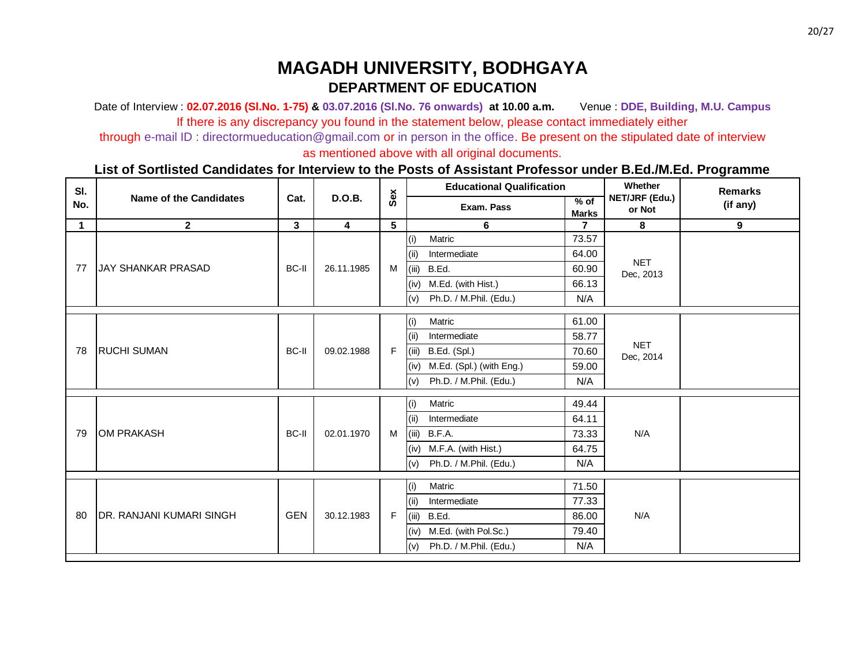Date of Interview : **02.07.2016 (Sl.No. 1-75) & 03.07.2016 (Sl.No. 76 onwards) at 10.00 a.m.** Venue : **DDE, Building, M.U. Campus** If there is any discrepancy you found in the statement below, please contact immediately either

through e-mail ID : directormueducation@gmail.com or in person in the office. Be present on the stipulated date of interview

as mentioned above with all original documents.

| SI.         |                                 |                         |                         |     |       | <b>Educational Qualification</b> |                      | Whether                  | <b>Remarks</b> |
|-------------|---------------------------------|-------------------------|-------------------------|-----|-------|----------------------------------|----------------------|--------------------------|----------------|
| No.         | <b>Name of the Candidates</b>   | Cat.                    | <b>D.O.B.</b>           | Sex |       | Exam. Pass                       | % of<br><b>Marks</b> | NET/JRF (Edu.)<br>or Not | (if any)       |
| $\mathbf 1$ | $\mathbf{2}$                    | $\overline{\mathbf{3}}$ | $\overline{\mathbf{4}}$ | 5   |       | 6                                | $\overline{7}$       | 8                        | 9              |
|             |                                 |                         |                         |     | (i)   | Matric                           | 73.57                |                          |                |
|             |                                 |                         |                         |     | (ii)  | Intermediate                     | 64.00                |                          |                |
| 77          | <b>JAY SHANKAR PRASAD</b>       | BC-II                   | 26.11.1985              | M   | (iii) | B.Ed.                            | 60.90                | <b>NET</b><br>Dec, 2013  |                |
|             |                                 |                         |                         |     | (iv)  | M.Ed. (with Hist.)               | 66.13                |                          |                |
|             |                                 |                         |                         |     | (v)   | Ph.D. / M.Phil. (Edu.)           | N/A                  |                          |                |
|             |                                 |                         |                         |     | (i)   | Matric                           | 61.00                |                          |                |
|             |                                 |                         |                         |     | (i)   | Intermediate                     | 58.77                |                          |                |
| 78          | <b>RUCHI SUMAN</b>              | <b>BC-II</b>            | 09.02.1988              | F   | (iii) | B.Ed. (Spl.)                     | 70.60                | <b>NET</b><br>Dec, 2014  |                |
|             |                                 |                         |                         |     | (iv)  | M.Ed. (Spl.) (with Eng.)         | 59.00                |                          |                |
|             |                                 |                         |                         |     | (v)   | Ph.D. / M.Phil. (Edu.)           | N/A                  |                          |                |
|             |                                 |                         |                         |     | (i)   | Matric                           | 49.44                |                          |                |
|             |                                 |                         |                         |     | (i)   | Intermediate                     | 64.11                |                          |                |
| 79          | <b>OM PRAKASH</b>               | <b>BC-II</b>            | 02.01.1970              | M   |       | $(iii)$ B.F.A.                   | 73.33                | N/A                      |                |
|             |                                 |                         |                         |     | (iv)  | M.F.A. (with Hist.)              | 64.75                |                          |                |
|             |                                 |                         |                         |     | (v)   | Ph.D. / M.Phil. (Edu.)           | N/A                  |                          |                |
|             |                                 |                         |                         |     | (i)   | Matric                           | 71.50                |                          |                |
|             |                                 |                         |                         |     | (i)   | Intermediate                     | 77.33                |                          |                |
| 80          | <b>DR. RANJANI KUMARI SINGH</b> | <b>GEN</b>              | 30.12.1983              | F   | (iii) | B.Ed.                            | 86.00                | N/A                      |                |
|             |                                 |                         |                         |     | (iv)  | M.Ed. (with Pol.Sc.)             | 79.40                |                          |                |
|             |                                 |                         |                         |     | (v)   | Ph.D. / M.Phil. (Edu.)           | N/A                  |                          |                |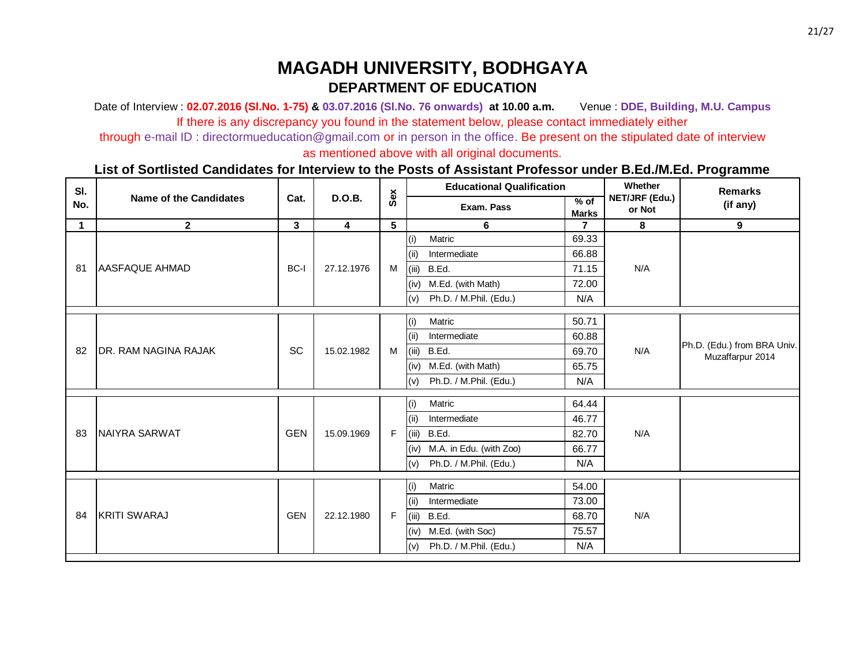Date of Interview : **02.07.2016 (Sl.No. 1-75) & 03.07.2016 (Sl.No. 76 onwards) at 10.00 a.m.** Venue : **DDE, Building, M.U. Campus** If there is any discrepancy you found in the statement below, please contact immediately either

through e-mail ID : directormueducation@gmail.com or in person in the office. Be present on the stipulated date of interview

as mentioned above with all original documents.

| SI.         |                               |            |                         |   | Sex   | <b>Educational Qualification</b> |                      | Whether                  | <b>Remarks</b>                                  |                  |       |  |  |
|-------------|-------------------------------|------------|-------------------------|---|-------|----------------------------------|----------------------|--------------------------|-------------------------------------------------|------------------|-------|--|--|
| No.         | <b>Name of the Candidates</b> | Cat.       | <b>D.O.B.</b>           |   |       | Exam. Pass                       | % of<br><b>Marks</b> | NET/JRF (Edu.)<br>or Not | (if any)                                        |                  |       |  |  |
| $\mathbf 1$ | $\mathbf{2}$                  | 3          | $\overline{\mathbf{4}}$ | 5 |       | 6                                | $\mathbf{7}$         | 8                        | 9                                               |                  |       |  |  |
|             |                               |            |                         |   | (i)   | Matric                           | 69.33                |                          |                                                 |                  |       |  |  |
|             |                               |            |                         |   | (ii)  | Intermediate                     | 66.88                |                          |                                                 |                  |       |  |  |
| 81          | <b>AASFAQUE AHMAD</b>         | BC-I       | 27.12.1976              | M | (iii) | B.Ed.                            | 71.15                | N/A                      |                                                 |                  |       |  |  |
|             |                               |            |                         |   | (iv)  | M.Ed. (with Math)                | 72.00                |                          |                                                 |                  |       |  |  |
|             |                               |            |                         |   | (v)   | Ph.D. / M.Phil. (Edu.)           | N/A                  |                          |                                                 |                  |       |  |  |
|             |                               |            |                         |   | (i)   | Matric                           | 50.71                |                          |                                                 |                  |       |  |  |
|             |                               |            |                         |   | (i)   | Intermediate                     | 60.88                |                          |                                                 |                  |       |  |  |
| 82          | <b>IDR. RAM NAGINA RAJAK</b>  | <b>SC</b>  | 15.02.1982              | M | (iii) | B.Ed.                            | 69.70                | N/A                      | Ph.D. (Edu.) from BRA Univ.<br>Muzaffarpur 2014 |                  |       |  |  |
|             |                               |            |                         |   | (iv)  | M.Ed. (with Math)                | 65.75                |                          |                                                 |                  |       |  |  |
|             |                               |            |                         |   | (v)   | Ph.D. / M.Phil. (Edu.)           | N/A                  |                          |                                                 |                  |       |  |  |
|             |                               |            |                         |   | (i)   | Matric                           | 64.44                |                          |                                                 |                  |       |  |  |
|             |                               |            |                         |   | (i)   | Intermediate                     | 46.77                |                          |                                                 |                  |       |  |  |
| 83          | NAIYRA SARWAT                 | <b>GEN</b> | 15.09.1969              | F |       | (iii) B.Ed.                      | 82.70                | N/A                      |                                                 |                  |       |  |  |
|             |                               |            |                         |   | (iv)  | M.A. in Edu. (with Zoo)          | 66.77                |                          |                                                 |                  |       |  |  |
|             |                               |            |                         |   | (v)   | Ph.D. / M.Phil. (Edu.)           | N/A                  |                          |                                                 |                  |       |  |  |
|             |                               |            |                         |   | (i)   | Matric                           | 54.00                |                          |                                                 |                  |       |  |  |
|             |                               |            |                         |   | (i)   | Intermediate                     | 73.00                |                          |                                                 |                  |       |  |  |
| 84          | <b>KRITI SWARAJ</b>           | <b>GEN</b> | 22.12.1980              | F | (iii) | B.Ed.                            | 68.70                | N/A                      |                                                 |                  |       |  |  |
|             |                               |            |                         |   |       |                                  |                      |                          | (iv)                                            | M.Ed. (with Soc) | 75.57 |  |  |
|             |                               |            |                         |   | (v)   | Ph.D. / M.Phil. (Edu.)           | N/A                  |                          |                                                 |                  |       |  |  |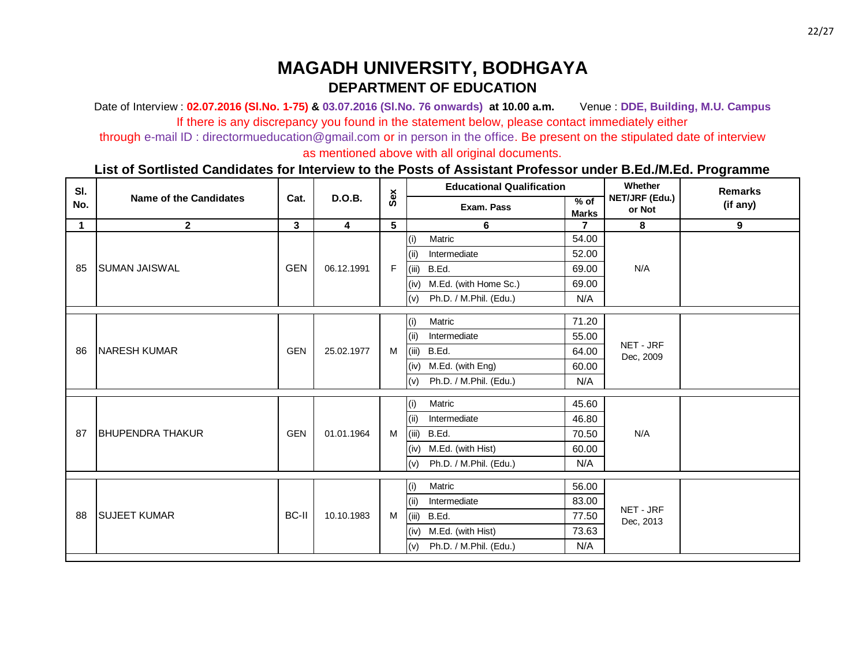Date of Interview : **02.07.2016 (Sl.No. 1-75) & 03.07.2016 (Sl.No. 76 onwards) at 10.00 a.m.** Venue : **DDE, Building, M.U. Campus** If there is any discrepancy you found in the statement below, please contact immediately either

through e-mail ID : directormueducation@gmail.com or in person in the office. Be present on the stipulated date of interview

as mentioned above with all original documents.

| SI.         |                               |              |                         |     |       | <b>Educational Qualification</b> |                        | Whether                  | <b>Remarks</b> |                   |       |                   |       |  |  |
|-------------|-------------------------------|--------------|-------------------------|-----|-------|----------------------------------|------------------------|--------------------------|----------------|-------------------|-------|-------------------|-------|--|--|
| No.         | <b>Name of the Candidates</b> | Cat.         | <b>D.O.B.</b>           | Sex |       | Exam. Pass                       | $%$ of<br><b>Marks</b> | NET/JRF (Edu.)<br>or Not | (if any)       |                   |       |                   |       |  |  |
| $\mathbf 1$ | $\mathbf{2}$                  | $\mathbf{3}$ | $\overline{\mathbf{4}}$ | 5   |       | 6                                | $\overline{7}$         | 8                        | 9              |                   |       |                   |       |  |  |
|             |                               |              |                         |     | (i)   | Matric                           | 54.00                  |                          |                |                   |       |                   |       |  |  |
|             |                               |              |                         |     | (ii)  | Intermediate                     | 52.00                  |                          |                |                   |       |                   |       |  |  |
| 85          | <b>SUMAN JAISWAL</b>          | <b>GEN</b>   | 06.12.1991              | F   | (iii) | B.Ed.                            | 69.00                  | N/A                      |                |                   |       |                   |       |  |  |
|             |                               |              |                         |     | (iv)  | M.Ed. (with Home Sc.)            | 69.00                  |                          |                |                   |       |                   |       |  |  |
|             |                               |              |                         |     | (v)   | Ph.D. / M.Phil. (Edu.)           | N/A                    |                          |                |                   |       |                   |       |  |  |
|             |                               |              |                         |     | (i)   | Matric                           | 71.20                  |                          |                |                   |       |                   |       |  |  |
|             |                               |              |                         |     | (ii)  | Intermediate                     | 55.00                  |                          |                |                   |       |                   |       |  |  |
| 86          | <b>NARESH KUMAR</b>           | <b>GEN</b>   | 25.02.1977              | M   | (iii) | B.Ed.                            | 64.00                  | NET - JRF                |                |                   |       |                   |       |  |  |
|             |                               |              |                         |     | (iv)  | M.Ed. (with Eng)                 | 60.00                  | Dec, 2009                |                |                   |       |                   |       |  |  |
|             |                               |              |                         |     | (v)   | Ph.D. / M.Phil. (Edu.)           | N/A                    |                          |                |                   |       |                   |       |  |  |
|             |                               |              |                         |     |       | Matric                           | 45.60                  |                          |                |                   |       |                   |       |  |  |
|             |                               |              |                         |     | (i)   | Intermediate                     | 46.80                  |                          |                |                   |       |                   |       |  |  |
| 87          | <b>BHUPENDRA THAKUR</b>       | <b>GEN</b>   | 01.01.1964              | M   | (ii)  |                                  |                        | N/A                      |                |                   |       |                   |       |  |  |
|             |                               |              |                         |     | (iii) | B.Ed.                            | 70.50                  |                          |                |                   |       |                   |       |  |  |
|             |                               |              |                         |     |       |                                  |                        |                          | (iv)           | M.Ed. (with Hist) | 60.00 |                   |       |  |  |
|             |                               |              |                         |     | (v)   | Ph.D. / M.Phil. (Edu.)           | N/A                    |                          |                |                   |       |                   |       |  |  |
|             |                               |              |                         |     | (i)   | Matric                           | 56.00                  |                          |                |                   |       |                   |       |  |  |
|             |                               |              |                         |     | (i)   | Intermediate                     | 83.00                  |                          |                |                   |       |                   |       |  |  |
| 88          | <b>SUJEET KUMAR</b>           | <b>BC-II</b> | 10.10.1983              | M   | (iii) | B.Ed.                            | 77.50                  | NET - JRF<br>Dec, 2013   |                |                   |       |                   |       |  |  |
|             |                               |              |                         |     |       |                                  |                        |                          |                |                   | (iv)  | M.Ed. (with Hist) | 73.63 |  |  |
|             |                               |              |                         |     | (v)   | Ph.D. / M.Phil. (Edu.)           | N/A                    |                          |                |                   |       |                   |       |  |  |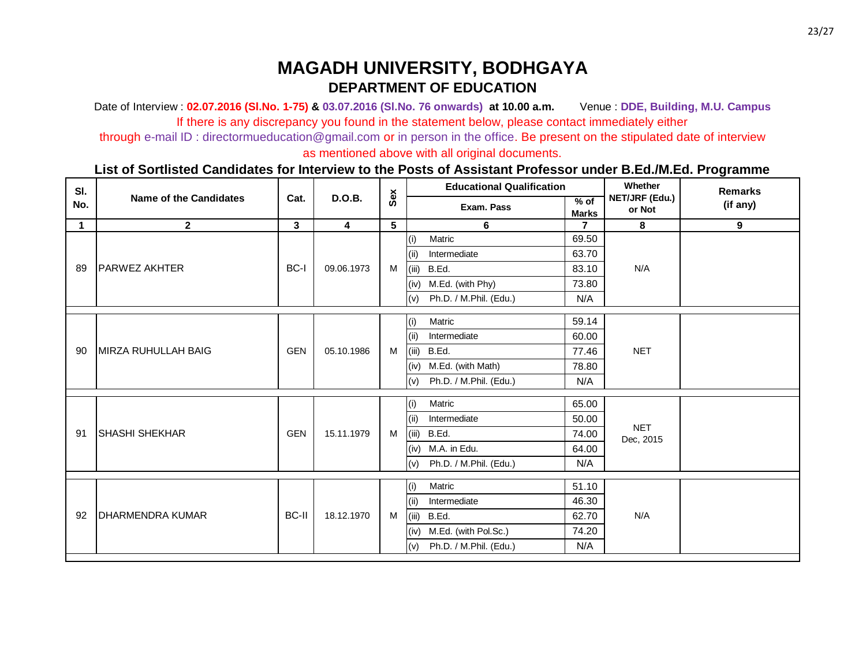Date of Interview : **02.07.2016 (Sl.No. 1-75) & 03.07.2016 (Sl.No. 76 onwards) at 10.00 a.m.** Venue : **DDE, Building, M.U. Campus** If there is any discrepancy you found in the statement below, please contact immediately either

through e-mail ID : directormueducation@gmail.com or in person in the office. Be present on the stipulated date of interview

as mentioned above with all original documents.

| SI.         |                               |              |                         |     |       | <b>Educational Qualification</b> |                        | Whether                  | <b>Remarks</b> |
|-------------|-------------------------------|--------------|-------------------------|-----|-------|----------------------------------|------------------------|--------------------------|----------------|
| No.         | <b>Name of the Candidates</b> | Cat.         | <b>D.O.B.</b>           | Sex |       | Exam. Pass                       | $%$ of<br><b>Marks</b> | NET/JRF (Edu.)<br>or Not | (if any)       |
| $\mathbf 1$ | $\mathbf{2}$                  | $\mathbf{3}$ | $\overline{\mathbf{4}}$ | 5   |       | 6                                | $\overline{7}$         | 8                        | 9              |
|             |                               |              |                         |     | (i)   | Matric                           | 69.50                  |                          |                |
|             |                               |              |                         |     | (ii)  | Intermediate                     | 63.70                  |                          |                |
| 89          | <b>PARWEZ AKHTER</b>          | BC-I         | 09.06.1973              | M   | (iii) | B.Ed.                            | 83.10                  | N/A                      |                |
|             |                               |              |                         |     | (iv)  | M.Ed. (with Phy)                 | 73.80                  |                          |                |
|             |                               |              |                         |     | (v)   | Ph.D. / M.Phil. (Edu.)           | N/A                    |                          |                |
|             |                               |              |                         |     | (i)   | Matric                           | 59.14                  |                          |                |
|             |                               |              |                         |     | (ii)  | Intermediate                     | 60.00                  |                          |                |
| 90          | <b>IMIRZA RUHULLAH BAIG</b>   | <b>GEN</b>   | 05.10.1986              | M   | (iii) | B.Ed.                            | 77.46                  | <b>NET</b>               |                |
|             |                               |              |                         |     | (iv)  | M.Ed. (with Math)                | 78.80                  |                          |                |
|             |                               |              |                         |     | (v)   | Ph.D. / M.Phil. (Edu.)           | N/A                    |                          |                |
|             |                               |              |                         |     | (i)   | Matric                           | 65.00                  |                          |                |
|             |                               |              |                         |     | (i)   | Intermediate                     | 50.00                  |                          |                |
| 91          | <b>ISHASHI SHEKHAR</b>        | <b>GEN</b>   | 15.11.1979              | M   | (iii) | B.Ed.                            | 74.00                  | <b>NET</b>               |                |
|             |                               |              |                         |     | (iv)  | M.A. in Edu.                     | 64.00                  | Dec, 2015                |                |
|             |                               |              |                         |     | (v)   | Ph.D. / M.Phil. (Edu.)           | N/A                    |                          |                |
|             |                               |              |                         |     |       |                                  |                        |                          |                |
|             |                               |              |                         |     | (i)   | Matric                           | 51.10                  |                          |                |
|             |                               |              |                         |     | (i)   | Intermediate                     | 46.30                  |                          |                |
| 92          | <b>DHARMENDRA KUMAR</b>       | <b>BC-II</b> | 18.12.1970              | M   | (iii) | B.Ed.                            | 62.70                  | N/A                      |                |
|             |                               |              |                         |     | (iv)  | M.Ed. (with Pol.Sc.)             | 74.20                  |                          |                |
|             |                               |              |                         |     | (v)   | Ph.D. / M.Phil. (Edu.)           | N/A                    |                          |                |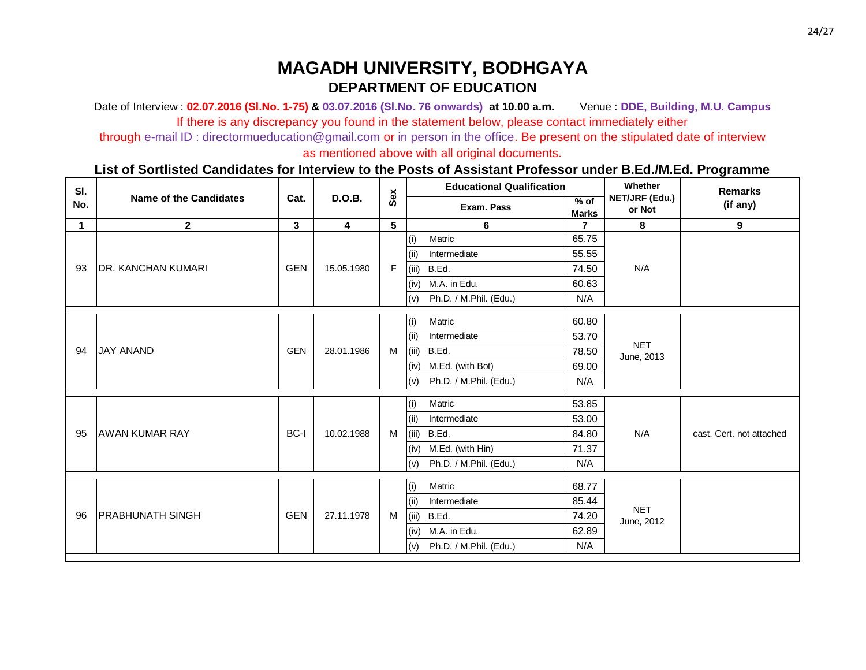Date of Interview : **02.07.2016 (Sl.No. 1-75) & 03.07.2016 (Sl.No. 76 onwards) at 10.00 a.m.** Venue : **DDE, Building, M.U. Campus** If there is any discrepancy you found in the statement below, please contact immediately either

through e-mail ID : directormueducation@gmail.com or in person in the office. Be present on the stipulated date of interview

as mentioned above with all original documents.

| SI.         |                            |              |                |     |       | <b>Educational Qualification</b> |                        | Whether                  | <b>Remarks</b>           |
|-------------|----------------------------|--------------|----------------|-----|-------|----------------------------------|------------------------|--------------------------|--------------------------|
| No.         | Name of the Candidates     | Cat.         | <b>D.O.B.</b>  | Sex |       | Exam. Pass                       | $%$ of<br><b>Marks</b> | NET/JRF (Edu.)<br>or Not | (if any)                 |
| $\mathbf 1$ | $\overline{2}$             | $\mathbf{3}$ | $\overline{4}$ | 5   |       | 6                                | $\overline{7}$         | 8                        | 9                        |
|             |                            |              |                |     | (i)   | Matric                           | 65.75                  |                          |                          |
|             |                            |              |                |     | (iii) | Intermediate                     | 55.55                  |                          |                          |
| 93          | <b>IDR. KANCHAN KUMARI</b> | <b>GEN</b>   | 15.05.1980     | F   | (iii) | B.Ed.                            | 74.50                  | N/A                      |                          |
|             |                            |              |                |     | (iv)  | M.A. in Edu.                     | 60.63                  |                          |                          |
|             |                            |              |                |     | (v)   | Ph.D. / M.Phil. (Edu.)           | N/A                    |                          |                          |
|             |                            |              |                |     | (i)   | Matric                           | 60.80                  |                          |                          |
|             |                            |              |                |     | (i)   | Intermediate                     | 53.70                  |                          |                          |
| 94          | <b>JAY ANAND</b>           | <b>GEN</b>   | 28.01.1986     | M   | (iii) | B.Ed.                            | 78.50                  | <b>NET</b><br>June, 2013 |                          |
|             |                            |              |                |     | (iv)  | M.Ed. (with Bot)                 | 69.00                  |                          |                          |
|             |                            |              |                |     | (v)   | Ph.D. / M.Phil. (Edu.)           | N/A                    |                          |                          |
|             |                            |              |                |     | (i)   | Matric                           | 53.85                  |                          |                          |
|             |                            |              |                |     | (i)   | Intermediate                     | 53.00                  |                          |                          |
| 95          | <b>AWAN KUMAR RAY</b>      | BC-I         | 10.02.1988     | M   | (iii) | B.Ed.                            | 84.80                  | N/A                      | cast. Cert. not attached |
|             |                            |              |                |     | (iv)  | M.Ed. (with Hin)                 | 71.37                  |                          |                          |
|             |                            |              |                |     | (v)   | Ph.D. / M.Phil. (Edu.)           | N/A                    |                          |                          |
|             |                            |              |                |     | (i)   | Matric                           | 68.77                  |                          |                          |
|             |                            |              |                |     | (ii)  | Intermediate                     | 85.44                  |                          |                          |
| 96          | <b>IPRABHUNATH SINGH</b>   | <b>GEN</b>   | 27.11.1978     | M   | (iii) | B.Ed.                            | 74.20                  | <b>NET</b>               |                          |
|             |                            |              |                |     | (iv)  | M.A. in Edu.                     | 62.89                  | June, 2012               |                          |
|             |                            |              |                |     | (v)   | Ph.D. / M.Phil. (Edu.)           | N/A                    |                          |                          |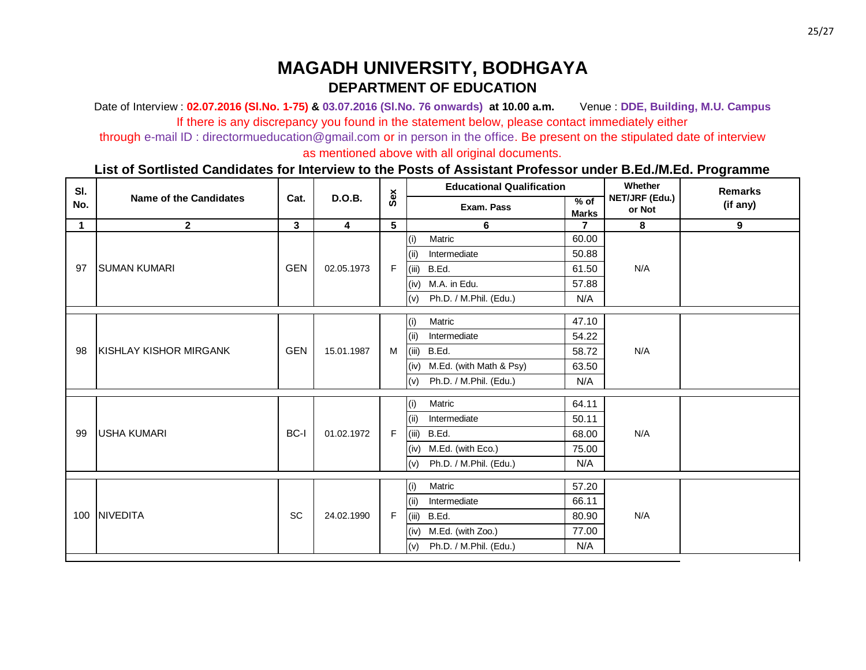Date of Interview : **02.07.2016 (Sl.No. 1-75) & 03.07.2016 (Sl.No. 76 onwards) at 10.00 a.m.** Venue : **DDE, Building, M.U. Campus** If there is any discrepancy you found in the statement below, please contact immediately either

through e-mail ID : directormueducation@gmail.com or in person in the office. Be present on the stipulated date of interview

as mentioned above with all original documents.

| SI.<br>No.  | <b>Name of the Candidates</b> | Cat.         | <b>D.O.B.</b>           | Sex |       | <b>Educational Qualification</b> |                        | Whether                  | <b>Remarks</b> |
|-------------|-------------------------------|--------------|-------------------------|-----|-------|----------------------------------|------------------------|--------------------------|----------------|
|             |                               |              |                         |     |       | Exam. Pass                       | $%$ of<br><b>Marks</b> | NET/JRF (Edu.)<br>or Not | (if any)       |
| $\mathbf 1$ | $\mathbf{2}$                  | $\mathbf{3}$ | $\overline{\mathbf{4}}$ | 5   |       | 6                                | $\overline{7}$         | 8                        | 9              |
| 97          | <b>SUMAN KUMARI</b>           | <b>GEN</b>   | 02.05.1973              |     | (i)   | Matric                           | 60.00                  | N/A                      |                |
|             |                               |              |                         | F   | (ii)  | Intermediate                     | 50.88                  |                          |                |
|             |                               |              |                         |     | (iii) | B.Ed.                            | 61.50                  |                          |                |
|             |                               |              |                         |     | (iv)  | M.A. in Edu.                     | 57.88                  |                          |                |
|             |                               |              |                         |     | (v)   | Ph.D. / M.Phil. (Edu.)           | N/A                    |                          |                |
|             | <b>KISHLAY KISHOR MIRGANK</b> | <b>GEN</b>   | 15.01.1987              | M   | (i)   | Matric                           | 47.10                  | N/A                      |                |
|             |                               |              |                         |     | (i)   | Intermediate                     | 54.22                  |                          |                |
| 98          |                               |              |                         |     |       | (iii) B.Ed.                      | 58.72                  |                          |                |
|             |                               |              |                         |     | (iv)  | M.Ed. (with Math & Psy)          | 63.50                  |                          |                |
|             |                               |              |                         |     | (v)   | Ph.D. / M.Phil. (Edu.)           | N/A                    |                          |                |
|             | <b>USHA KUMARI</b>            | BC-I         | 01.02.1972              | F   | (i)   | Matric                           | 64.11                  | N/A                      |                |
|             |                               |              |                         |     | (i)   | Intermediate                     | 50.11                  |                          |                |
| 99          |                               |              |                         |     | (iii) | B.Ed.                            | 68.00                  |                          |                |
|             |                               |              |                         |     | (iv)  | M.Ed. (with Eco.)                | 75.00                  |                          |                |
|             |                               |              |                         |     | (v)   | Ph.D. / M.Phil. (Edu.)           | N/A                    |                          |                |
|             | 100 NIVEDITA                  | SC           | 24.02.1990              | F   | (i)   | Matric                           | 57.20                  |                          |                |
|             |                               |              |                         |     | (i)   | Intermediate                     | 66.11                  | N/A                      |                |
|             |                               |              |                         |     | (iii) | B.Ed.                            | 80.90                  |                          |                |
|             |                               |              |                         |     | (iv)  | M.Ed. (with Zoo.)                | 77.00                  |                          |                |
|             |                               |              |                         |     | (v)   | Ph.D. / M.Phil. (Edu.)           | N/A                    |                          |                |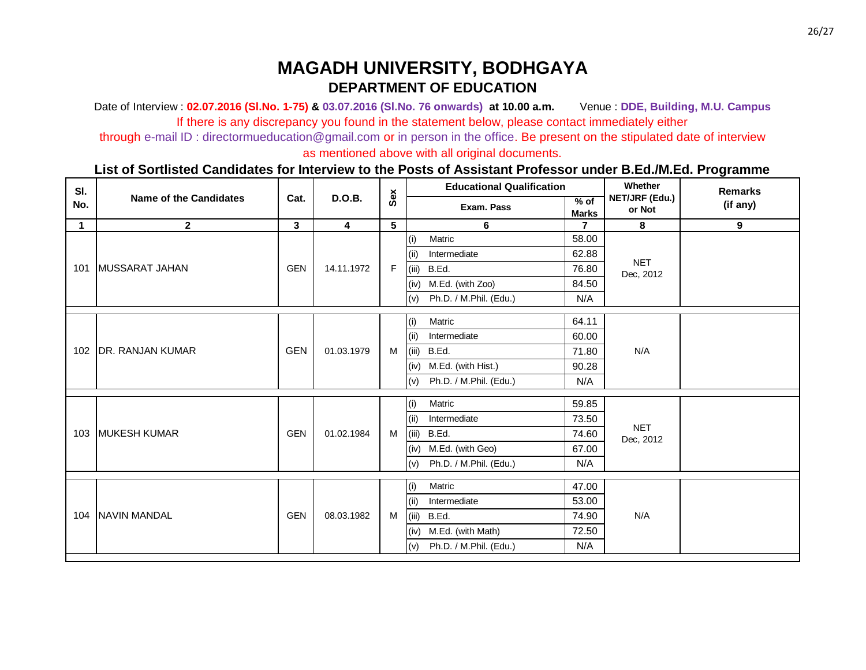Date of Interview : **02.07.2016 (Sl.No. 1-75) & 03.07.2016 (Sl.No. 76 onwards) at 10.00 a.m.** Venue : **DDE, Building, M.U. Campus** If there is any discrepancy you found in the statement below, please contact immediately either

through e-mail ID : directormueducation@gmail.com or in person in the office. Be present on the stipulated date of interview

as mentioned above with all original documents.

| SI.<br>No.  | <b>Name of the Candidates</b> | Cat.                    | <b>D.O.B.</b>           | Sex |       | <b>Educational Qualification</b> |                        | Whether<br>NET/JRF (Edu.)<br>or Not | <b>Remarks</b> |
|-------------|-------------------------------|-------------------------|-------------------------|-----|-------|----------------------------------|------------------------|-------------------------------------|----------------|
|             |                               |                         |                         |     |       | Exam. Pass                       | $%$ of<br><b>Marks</b> |                                     | (if any)       |
| $\mathbf 1$ | $\mathbf{2}$                  | $\overline{\mathbf{3}}$ | $\overline{\mathbf{4}}$ | 5   |       | 6                                | $\overline{7}$         | 8                                   | 9              |
|             | 101   MUSSARAT JAHAN          | <b>GEN</b>              | 14.11.1972              | F   | (i)   | Matric                           | 58.00                  | <b>NET</b><br>Dec, 2012             |                |
|             |                               |                         |                         |     | (ii)  | Intermediate                     | 62.88                  |                                     |                |
|             |                               |                         |                         |     | (iii) | B.Ed.                            | 76.80                  |                                     |                |
|             |                               |                         |                         |     | (iv)  | M.Ed. (with Zoo)                 | 84.50                  |                                     |                |
|             |                               |                         |                         |     | (v)   | Ph.D. / M.Phil. (Edu.)           | N/A                    |                                     |                |
|             | 102 DR. RANJAN KUMAR          | <b>GEN</b>              | 01.03.1979              | M   | (i)   | Matric                           | 64.11                  | N/A                                 |                |
|             |                               |                         |                         |     | (i)   | Intermediate                     | 60.00                  |                                     |                |
|             |                               |                         |                         |     | (iii) | B.Ed.                            | 71.80                  |                                     |                |
|             |                               |                         |                         |     | (iv)  | M.Ed. (with Hist.)               | 90.28                  |                                     |                |
|             |                               |                         |                         |     | (v)   | Ph.D. / M.Phil. (Edu.)           | N/A                    |                                     |                |
|             | 103   MUKESH KUMAR            | <b>GEN</b>              | 01.02.1984              | M   | (i)   | Matric                           | 59.85                  | <b>NET</b><br>Dec, 2012             |                |
|             |                               |                         |                         |     | (i)   | Intermediate                     | 73.50                  |                                     |                |
|             |                               |                         |                         |     | (iii) | B.Ed.                            | 74.60                  |                                     |                |
|             |                               |                         |                         |     | (iv)  | M.Ed. (with Geo)                 | 67.00                  |                                     |                |
|             |                               |                         |                         |     | (v)   | Ph.D. / M.Phil. (Edu.)           | N/A                    |                                     |                |
|             | 104 NAVIN MANDAL              | <b>GEN</b>              | 08.03.1982              | M   | (i)   | Matric                           | 47.00                  | N/A                                 |                |
|             |                               |                         |                         |     | (i)   | Intermediate                     | 53.00                  |                                     |                |
|             |                               |                         |                         |     | (iii) | B.Ed.                            | 74.90                  |                                     |                |
|             |                               |                         |                         |     | (iv)  | M.Ed. (with Math)                | 72.50                  |                                     |                |
|             |                               |                         |                         |     | (v)   | Ph.D. / M.Phil. (Edu.)           | N/A                    |                                     |                |